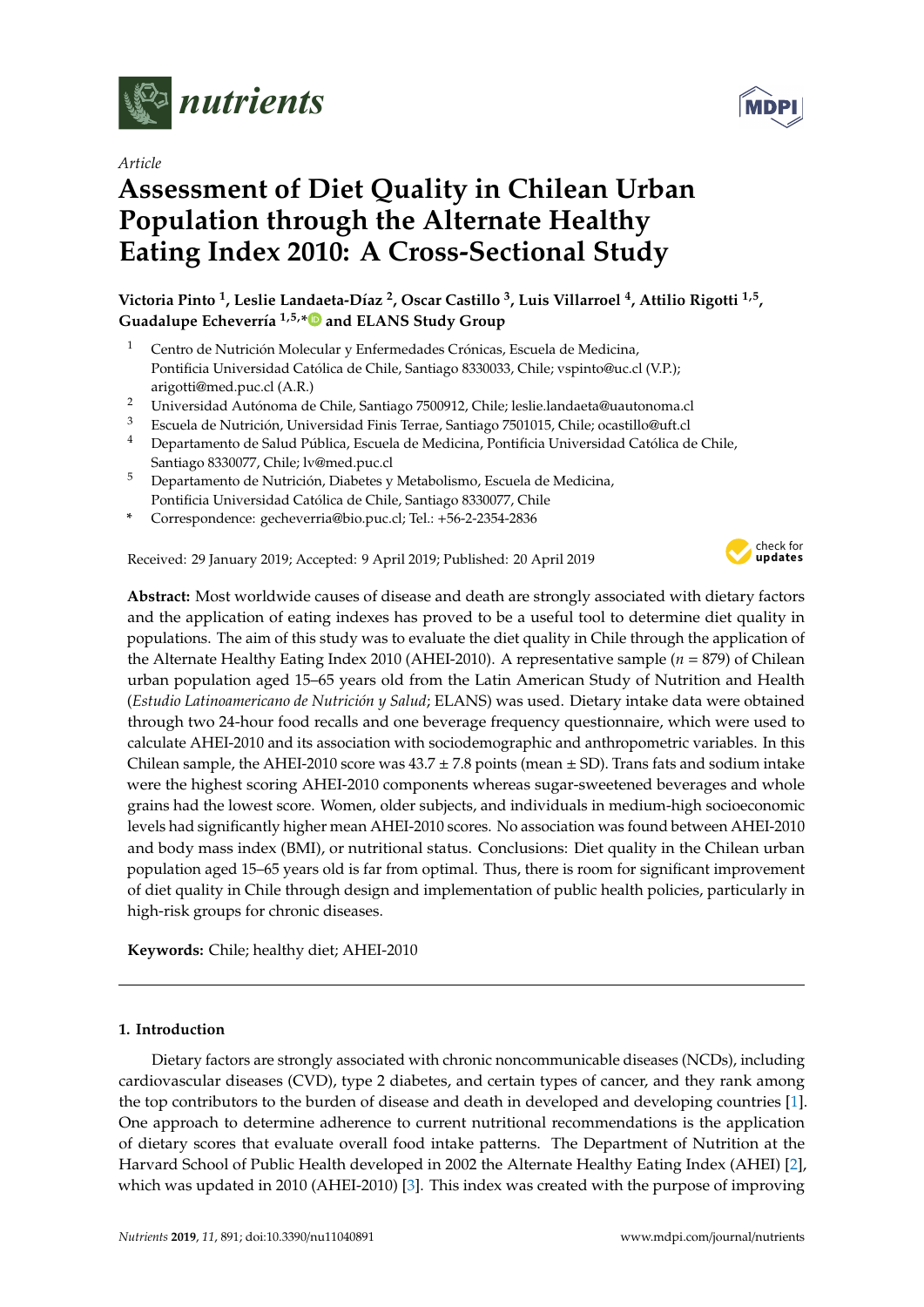

*Article*

# **Assessment of Diet Quality in Chilean Urban Population through the Alternate Healthy Eating Index 2010: A Cross-Sectional Study**

**Victoria Pinto <sup>1</sup> , Leslie Landaeta-Díaz <sup>2</sup> , Oscar Castillo <sup>3</sup> , Luis Villarroel <sup>4</sup> , Attilio Rigotti 1,5 , Guadalupe Echeverría 1,5,[\\*](https://orcid.org/0000-0002-2915-0171) and ELANS Study Group**

- <sup>1</sup> Centro de Nutrición Molecular y Enfermedades Crónicas, Escuela de Medicina, Pontificia Universidad Católica de Chile, Santiago 8330033, Chile; vspinto@uc.cl (V.P.); arigotti@med.puc.cl (A.R.)
- <sup>2</sup> Universidad Autónoma de Chile, Santiago 7500912, Chile; leslie.landaeta@uautonoma.cl
- <sup>3</sup> Escuela de Nutrición, Universidad Finis Terrae, Santiago 7501015, Chile; ocastillo@uft.cl
- <sup>4</sup> Departamento de Salud Pública, Escuela de Medicina, Pontificia Universidad Católica de Chile, Santiago 8330077, Chile; lv@med.puc.cl
- <sup>5</sup> Departamento de Nutrición, Diabetes y Metabolismo, Escuela de Medicina, Pontificia Universidad Católica de Chile, Santiago 8330077, Chile
- **\*** Correspondence: gecheverria@bio.puc.cl; Tel.: +56-2-2354-2836

Received: 29 January 2019; Accepted: 9 April 2019; Published: 20 April 2019



**Abstract:** Most worldwide causes of disease and death are strongly associated with dietary factors and the application of eating indexes has proved to be a useful tool to determine diet quality in populations. The aim of this study was to evaluate the diet quality in Chile through the application of the Alternate Healthy Eating Index 2010 (AHEI-2010). A representative sample (*n* = 879) of Chilean urban population aged 15–65 years old from the Latin American Study of Nutrition and Health (*Estudio Latinoamericano de Nutrición y Salud*; ELANS) was used. Dietary intake data were obtained through two 24-hour food recalls and one beverage frequency questionnaire, which were used to calculate AHEI-2010 and its association with sociodemographic and anthropometric variables. In this Chilean sample, the AHEI-2010 score was  $43.7 \pm 7.8$  points (mean  $\pm$  SD). Trans fats and sodium intake were the highest scoring AHEI-2010 components whereas sugar-sweetened beverages and whole grains had the lowest score. Women, older subjects, and individuals in medium-high socioeconomic levels had significantly higher mean AHEI-2010 scores. No association was found between AHEI-2010 and body mass index (BMI), or nutritional status. Conclusions: Diet quality in the Chilean urban population aged 15–65 years old is far from optimal. Thus, there is room for significant improvement of diet quality in Chile through design and implementation of public health policies, particularly in high-risk groups for chronic diseases.

**Keywords:** Chile; healthy diet; AHEI-2010

# **1. Introduction**

Dietary factors are strongly associated with chronic noncommunicable diseases (NCDs), including cardiovascular diseases (CVD), type 2 diabetes, and certain types of cancer, and they rank among the top contributors to the burden of disease and death in developed and developing countries [\[1\]](#page-10-0). One approach to determine adherence to current nutritional recommendations is the application of dietary scores that evaluate overall food intake patterns. The Department of Nutrition at the Harvard School of Public Health developed in 2002 the Alternate Healthy Eating Index (AHEI) [\[2\]](#page-10-1), which was updated in 2010 (AHEI-2010) [\[3\]](#page-10-2). This index was created with the purpose of improving

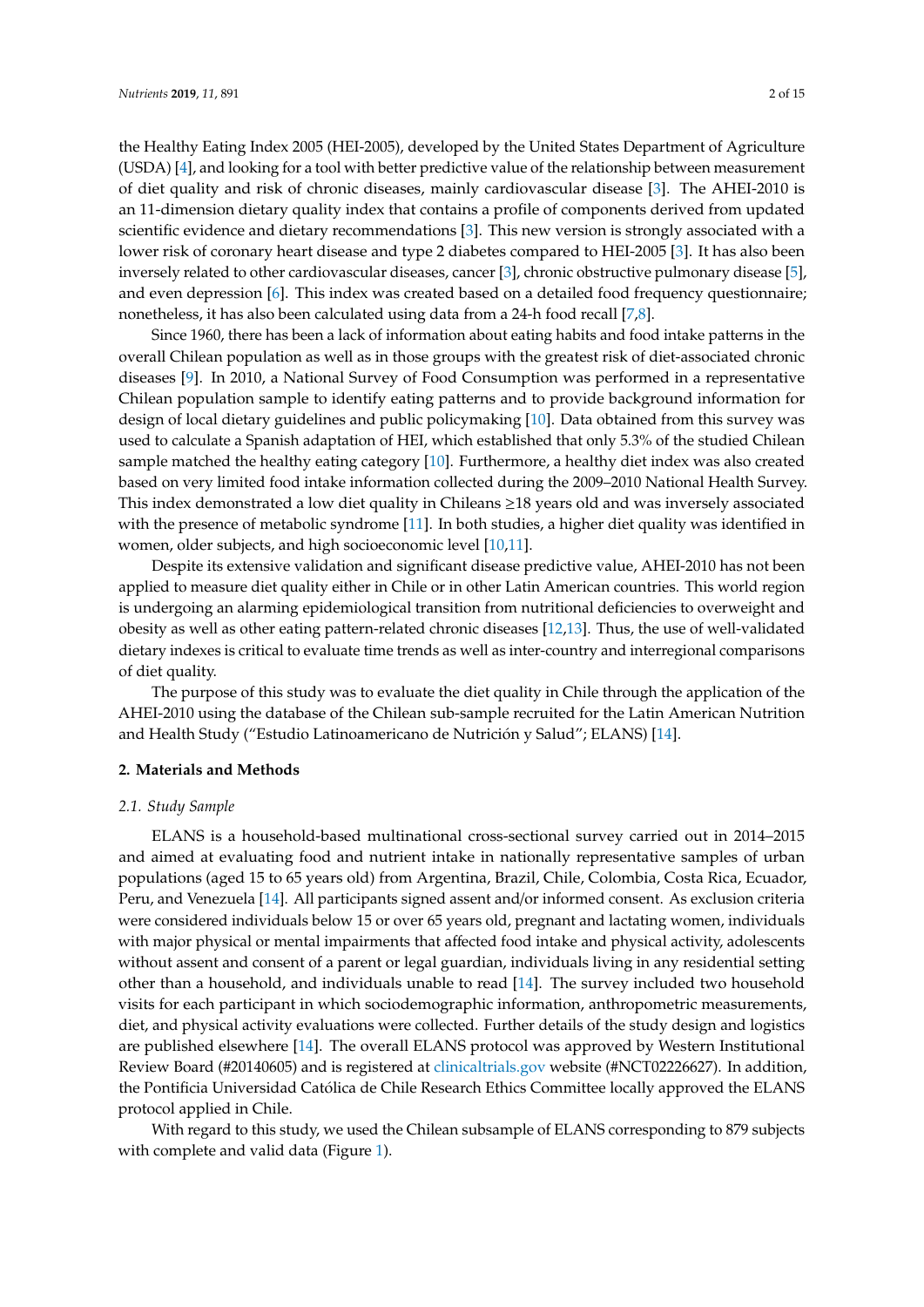the Healthy Eating Index 2005 (HEI-2005), developed by the United States Department of Agriculture (USDA) [\[4\]](#page-10-3), and looking for a tool with better predictive value of the relationship between measurement of diet quality and risk of chronic diseases, mainly cardiovascular disease [\[3\]](#page-10-2). The AHEI-2010 is an 11-dimension dietary quality index that contains a profile of components derived from updated scientific evidence and dietary recommendations [\[3\]](#page-10-2). This new version is strongly associated with a lower risk of coronary heart disease and type 2 diabetes compared to HEI-2005 [\[3\]](#page-10-2). It has also been inversely related to other cardiovascular diseases, cancer [\[3\]](#page-10-2), chronic obstructive pulmonary disease [\[5\]](#page-10-4), and even depression [\[6\]](#page-11-0). This index was created based on a detailed food frequency questionnaire; nonetheless, it has also been calculated using data from a 24-h food recall [\[7](#page-11-1)[,8\]](#page-11-2).

Since 1960, there has been a lack of information about eating habits and food intake patterns in the overall Chilean population as well as in those groups with the greatest risk of diet-associated chronic diseases [\[9\]](#page-11-3). In 2010, a National Survey of Food Consumption was performed in a representative Chilean population sample to identify eating patterns and to provide background information for design of local dietary guidelines and public policymaking [\[10\]](#page-11-4). Data obtained from this survey was used to calculate a Spanish adaptation of HEI, which established that only 5.3% of the studied Chilean sample matched the healthy eating category [\[10\]](#page-11-4). Furthermore, a healthy diet index was also created based on very limited food intake information collected during the 2009–2010 National Health Survey. This index demonstrated a low diet quality in Chileans ≥18 years old and was inversely associated with the presence of metabolic syndrome [\[11\]](#page-11-5). In both studies, a higher diet quality was identified in women, older subjects, and high socioeconomic level [\[10,](#page-11-4)[11\]](#page-11-5).

Despite its extensive validation and significant disease predictive value, AHEI-2010 has not been applied to measure diet quality either in Chile or in other Latin American countries. This world region is undergoing an alarming epidemiological transition from nutritional deficiencies to overweight and obesity as well as other eating pattern-related chronic diseases [\[12](#page-11-6)[,13\]](#page-11-7). Thus, the use of well-validated dietary indexes is critical to evaluate time trends as well as inter-country and interregional comparisons of diet quality.

The purpose of this study was to evaluate the diet quality in Chile through the application of the AHEI-2010 using the database of the Chilean sub-sample recruited for the Latin American Nutrition and Health Study ("Estudio Latinoamericano de Nutrición y Salud"; ELANS) [\[14\]](#page-11-8).

#### **2. Materials and Methods**

## *2.1. Study Sample*

ELANS is a household-based multinational cross-sectional survey carried out in 2014–2015 and aimed at evaluating food and nutrient intake in nationally representative samples of urban populations (aged 15 to 65 years old) from Argentina, Brazil, Chile, Colombia, Costa Rica, Ecuador, Peru, and Venezuela [\[14\]](#page-11-8). All participants signed assent and/or informed consent. As exclusion criteria were considered individuals below 15 or over 65 years old, pregnant and lactating women, individuals with major physical or mental impairments that affected food intake and physical activity, adolescents without assent and consent of a parent or legal guardian, individuals living in any residential setting other than a household, and individuals unable to read [\[14\]](#page-11-8). The survey included two household visits for each participant in which sociodemographic information, anthropometric measurements, diet, and physical activity evaluations were collected. Further details of the study design and logistics are published elsewhere [\[14\]](#page-11-8). The overall ELANS protocol was approved by Western Institutional Review Board (#20140605) and is registered at <clinicaltrials.gov> website (#NCT02226627). In addition, the Pontificia Universidad Católica de Chile Research Ethics Committee locally approved the ELANS protocol applied in Chile.

With regard to this study, we used the Chilean subsample of ELANS corresponding to 879 subjects with complete and valid data (Figure [1\)](#page-2-0).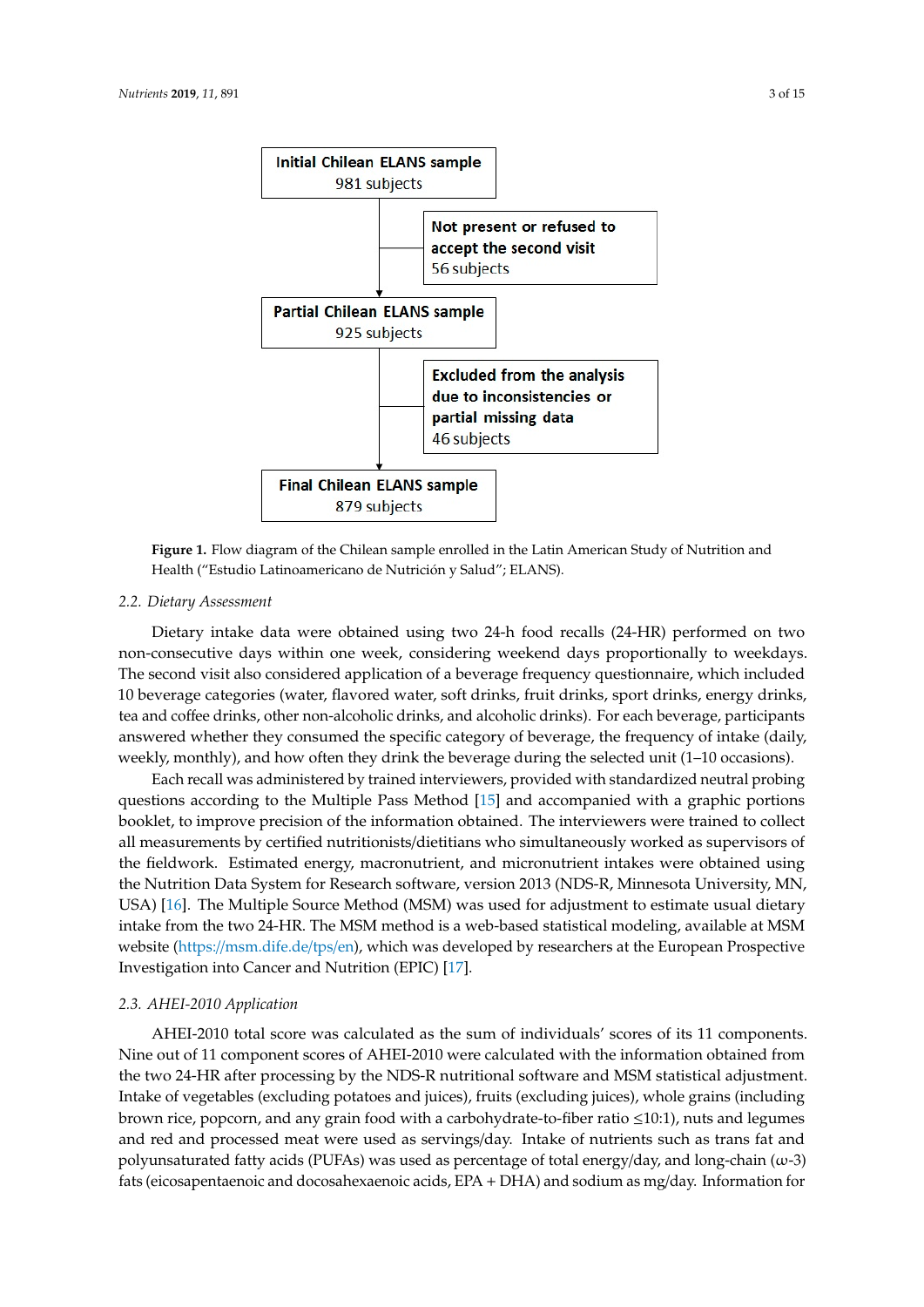<span id="page-2-0"></span>

**Figure 1.** Flow diagram of the Chilean sample enrolled in the Latin American Study of Nutrition and **Figure 1.** Flow diagram of the Chilean sample enrolled in the Latin American Study of Nutrition and Health ("Estudio Latinoamericano de Nutrición y Salud"; ELANS). Health ("Estudio Latinoamericano de Nutrición y Salud"; ELANS).

# *2.2. Dietary Assessment 2.2. Dietary Assessment*

Dietary intake data were obtained using two 24-h food recalls (24-HR) performed on two non-Dietary intake data were obtained using two 24-h food recalls (24-HR) performed on two non-consecutive days within one week, considering weekend days proportionally to weekdays. The second visit also considered application of a beverage frequency questionnaire, which included 10 beverage categories (water, flavored water, soft drinks, fruit drinks, sport drinks, energy drinks, and coffee drinks, other non-alcoholic drinks, and alcoholic drinks). For each beverage, participants tea and coffee drinks, other non-alcoholic drinks, and alcoholic drinks). For each beverage, participants answered whether they consumed the specific category of beverage, the frequency of intake (daily, answered whether they consumed the specific category of beverage, the frequency of intake (daily, weekly, monthly), and how often they drink the beverage during the selected unit (1–10 occasions). weekly, monthly), and how often they drink the beverage during the selected unit (1–10 occasions).

Each recall was administered by trained interviewers, provided with standardized neutral Each recall was administered by trained interviewers, provided with standardized neutral probing questions according to the Multiple Pass Method  $[15]$  and accompanied with a graphic portions booklet, to improve precision of the information obtained. The interviewers were trained to collect all measurements by certified nutritionists/dietitians who simultaneously worked as supervisors of the fieldwork. Estimated energy, macronutrient, and micronutrient intakes were obtained using the Nutrition Data System for Research software, version 2013 (NDS-R, Minnesota University, MN, USA) [\[16\]](#page-11-10). The Multiple Source Method (MSM) was used for adjustment to estimate usual dietary intake from the two 24-HR. The MSM method is a web-based statistical modeling, available at MSM website (https://msm.dife.de/tps/en), which was developed by researchers at the European Prospective Investigation into Cancer and Nutrition (EPIC) [\[17\]](#page-11-11).

# *2.3. AHEI-2010 Application 2.3. AHEI-2010 Application*

AHEI-2010 total score was calculated as the sum of individuals' scores of its 11 components. AHEI-2010 total score was calculated as the sum of individuals' scores of its 11 components. Nine out of 11 component scores of AHEI-2010 were calculated with the information obtained from  $\sim$ the two 24-HR after processing by the NDS-R nutritional software and MSM statistical adjustment. the two 24-HR after processing by the NDS-R nutritional software and MSM statistical adjustment. Intake of vegetables (excluding potatoes and juices), fruits (excluding juices), whole grains (including Intake of vegetables (excluding potatoes and juices), fruits (excluding juices), whole grains (including brown rice, popcorn, and any grain food with a carbohydrate-to-fiber ratio ≤10:1), nuts and legumes brown rice, popcorn, and any grain food with a carbohydrate-to-fiber ratio ≤10:1), nuts and legumes and red and processed meat were used as servings/day. Intake of nutrients such as trans fat and and processed meat were used as servings/day. Intake of nutrients such as trans fat and polyunsaturated fatty acids (PUFAs) was used as percentage of total energy/day, and long-chain  $(\omega - 3)$ 3) fats (eicosapentaenoic and docosahexaenoic acids, EPA + DHA) and sodium as mg/day. fats (eicosapentaenoic and docosahexaenoic acids, EPA + DHA) and sodium as mg/day. Information for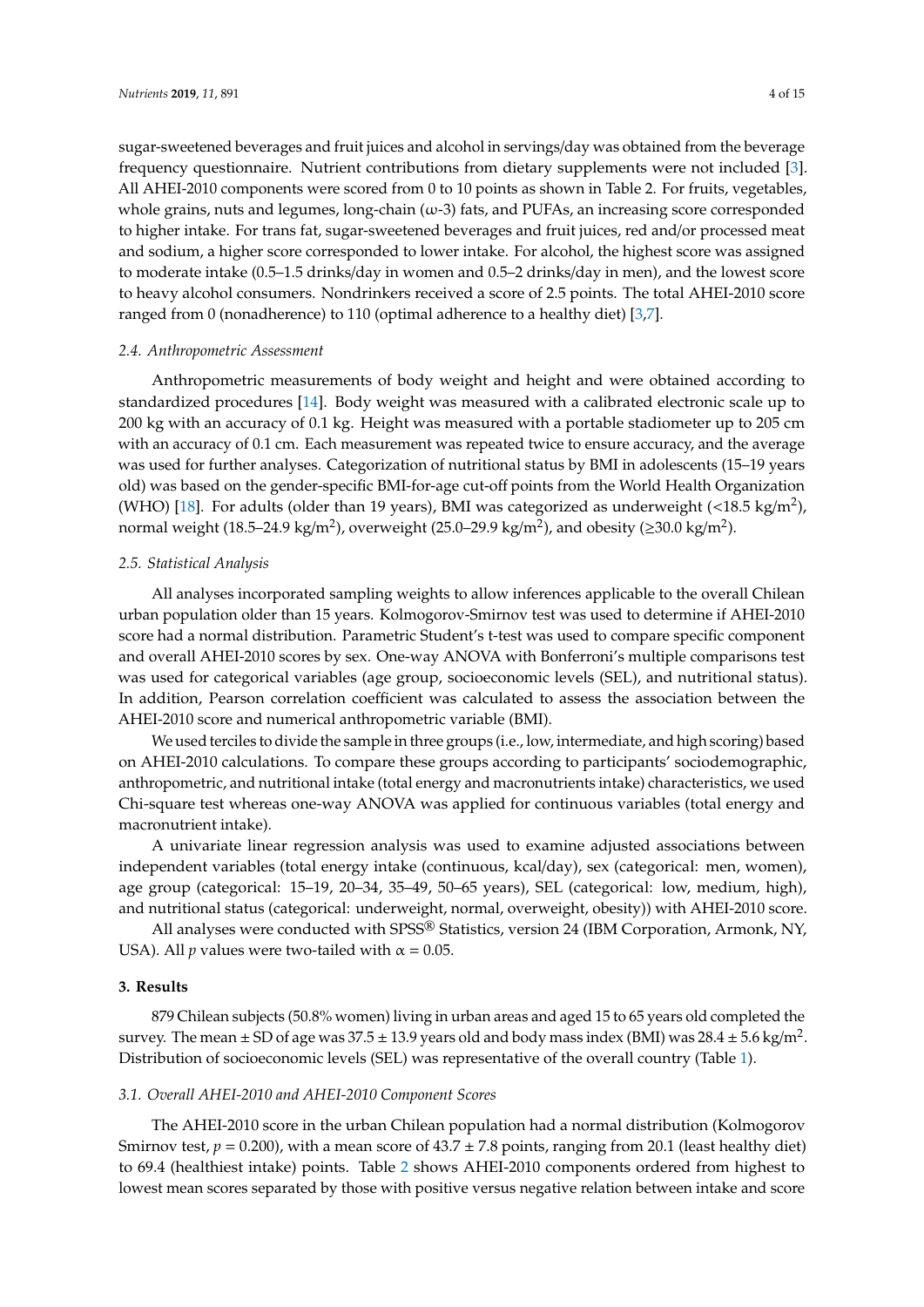sugar-sweetened beverages and fruit juices and alcohol in servings/day was obtained from the beverage frequency questionnaire. Nutrient contributions from dietary supplements were not included [\[3\]](#page-10-2). All AHEI-2010 components were scored from 0 to 10 points as shown in Table 2. For fruits, vegetables, whole grains, nuts and legumes, long-chain  $(\omega$ -3) fats, and PUFAs, an increasing score corresponded to higher intake. For trans fat, sugar-sweetened beverages and fruit juices, red and/or processed meat and sodium, a higher score corresponded to lower intake. For alcohol, the highest score was assigned to moderate intake (0.5–1.5 drinks/day in women and 0.5–2 drinks/day in men), and the lowest score to heavy alcohol consumers. Nondrinkers received a score of 2.5 points. The total AHEI-2010 score ranged from 0 (nonadherence) to 110 (optimal adherence to a healthy diet) [\[3](#page-10-2)[,7\]](#page-11-1).

#### *2.4. Anthropometric Assessment*

Anthropometric measurements of body weight and height and were obtained according to standardized procedures [\[14\]](#page-11-8). Body weight was measured with a calibrated electronic scale up to 200 kg with an accuracy of 0.1 kg. Height was measured with a portable stadiometer up to 205 cm with an accuracy of 0.1 cm. Each measurement was repeated twice to ensure accuracy, and the average was used for further analyses. Categorization of nutritional status by BMI in adolescents (15–19 years old) was based on the gender-specific BMI-for-age cut-off points from the World Health Organization (WHO) [\[18\]](#page-11-12). For adults (older than 19 years), BMI was categorized as underweight (<18.5 kg/m<sup>2</sup>), normal weight (18.5–24.9 kg/m<sup>2</sup>), overweight (25.0–29.9 kg/m<sup>2</sup>), and obesity (≥30.0 kg/m<sup>2</sup>).

### *2.5. Statistical Analysis*

All analyses incorporated sampling weights to allow inferences applicable to the overall Chilean urban population older than 15 years. Kolmogorov-Smirnov test was used to determine if AHEI-2010 score had a normal distribution. Parametric Student's t-test was used to compare specific component and overall AHEI-2010 scores by sex. One-way ANOVA with Bonferroni's multiple comparisons test was used for categorical variables (age group, socioeconomic levels (SEL), and nutritional status). In addition, Pearson correlation coefficient was calculated to assess the association between the AHEI-2010 score and numerical anthropometric variable (BMI).

We used terciles to divide the sample in three groups (i.e., low, intermediate, and high scoring) based on AHEI-2010 calculations. To compare these groups according to participants' sociodemographic, anthropometric, and nutritional intake (total energy and macronutrients intake) characteristics, we used Chi-square test whereas one-way ANOVA was applied for continuous variables (total energy and macronutrient intake).

A univariate linear regression analysis was used to examine adjusted associations between independent variables (total energy intake (continuous, kcal/day), sex (categorical: men, women), age group (categorical: 15–19, 20–34, 35–49, 50–65 years), SEL (categorical: low, medium, high), and nutritional status (categorical: underweight, normal, overweight, obesity)) with AHEI-2010 score.

All analyses were conducted with SPSS® Statistics, version 24 (IBM Corporation, Armonk, NY, USA). All *p* values were two-tailed with  $\alpha = 0.05$ .

## **3. Results**

879 Chilean subjects (50.8% women) living in urban areas and aged 15 to 65 years old completed the survey. The mean  $\pm$  SD of age was 37.5  $\pm$  13.9 years old and body mass index (BMI) was 28.4  $\pm$  5.6 kg/m<sup>2</sup>. Distribution of socioeconomic levels (SEL) was representative of the overall country (Table [1\)](#page-4-0).

# *3.1. Overall AHEI-2010 and AHEI-2010 Component Scores*

The AHEI-2010 score in the urban Chilean population had a normal distribution (Kolmogorov Smirnov test,  $p = 0.200$ ), with a mean score of  $43.7 \pm 7.8$  points, ranging from 20.1 (least healthy diet) to 69.4 (healthiest intake) points. Table [2](#page-4-1) shows AHEI-2010 components ordered from highest to lowest mean scores separated by those with positive versus negative relation between intake and score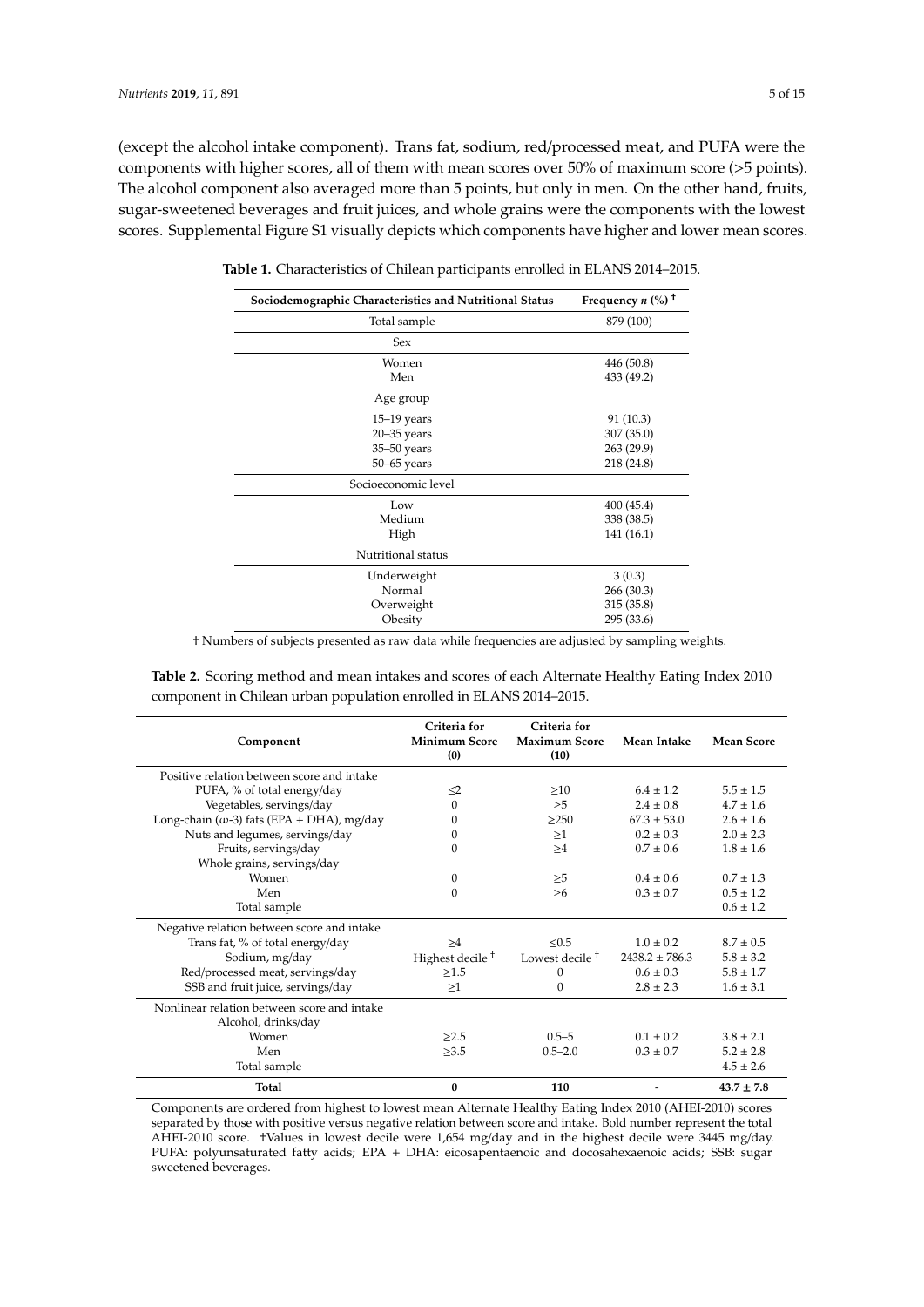(except the alcohol intake component). Trans fat, sodium, red/processed meat, and PUFA were the components with higher scores, all of them with mean scores over 50% of maximum score (>5 points). The alcohol component also averaged more than 5 points, but only in men. On the other hand, fruits, sugar-sweetened beverages and fruit juices, and whole grains were the components with the lowest scores. Supplemental Figure S1 visually depicts which components have higher and lower mean scores.

| Sociodemographic Characteristics and Nutritional Status | Frequency $n$ (%) <sup>+</sup> |  |
|---------------------------------------------------------|--------------------------------|--|
| Total sample                                            | 879 (100)                      |  |
| Sex                                                     |                                |  |
| Women                                                   | 446 (50.8)                     |  |
| Men                                                     | 433 (49.2)                     |  |
| Age group                                               |                                |  |
| $15-19$ years                                           | 91 (10.3)                      |  |
| $20 - 35$ years                                         | 307 (35.0)                     |  |
| $35 - 50$ years                                         | 263 (29.9)                     |  |
| $50 - 65$ years                                         | 218 (24.8)                     |  |
| Socioeconomic level                                     |                                |  |
| Low                                                     | 400 (45.4)                     |  |
| Medium                                                  | 338 (38.5)                     |  |
| High                                                    | 141 (16.1)                     |  |
| Nutritional status                                      |                                |  |
| Underweight                                             | 3(0.3)                         |  |
| Normal                                                  | 266 (30.3)                     |  |
| Overweight                                              | 315 (35.8)                     |  |
| Obesity                                                 | 295 (33.6)                     |  |

<span id="page-4-0"></span>**Table 1.** Characteristics of Chilean participants enrolled in ELANS 2014–2015.

† Numbers of subjects presented as raw data while frequencies are adjusted by sampling weights.

<span id="page-4-1"></span>**Table 2.** Scoring method and mean intakes and scores of each Alternate Healthy Eating Index 2010 component in Chilean urban population enrolled in ELANS 2014–2015.

| Component                                                          | Criteria for<br><b>Minimum Score</b><br>(0) | Criteria for<br><b>Maximum Score</b><br>(10) | Mean Intake        | <b>Mean Score</b> |
|--------------------------------------------------------------------|---------------------------------------------|----------------------------------------------|--------------------|-------------------|
| Positive relation between score and intake                         |                                             |                                              |                    |                   |
| PUFA, % of total energy/day                                        | $\leq$ 2                                    | >10                                          | $6.4 \pm 1.2$      | $5.5 \pm 1.5$     |
| Vegetables, servings/day                                           | $\Omega$                                    | >5                                           | $2.4 \pm 0.8$      | $4.7 \pm 1.6$     |
| Long-chain ( $\omega$ -3) fats (EPA + DHA), mg/day                 | $\Omega$                                    | >250                                         | $67.3 + 53.0$      | $2.6 \pm 1.6$     |
| Nuts and legumes, servings/day                                     | $\mathbf{0}$                                | >1                                           | $0.2 \pm 0.3$      | $2.0 + 2.3$       |
| Fruits, servings/day                                               | $\theta$                                    | >4                                           | $0.7 \pm 0.6$      | $1.8 \pm 1.6$     |
| Whole grains, servings/day                                         |                                             |                                              |                    |                   |
| Women                                                              | $\mathbf{0}$                                | >5                                           | $0.4 \pm 0.6$      | $0.7 + 1.3$       |
| Men                                                                | $\theta$                                    | >6                                           | $0.3 + 0.7$        | $0.5 \pm 1.2$     |
| Total sample                                                       |                                             |                                              |                    | $0.6 \pm 1.2$     |
| Negative relation between score and intake                         |                                             |                                              |                    |                   |
| Trans fat, % of total energy/day                                   | >4                                          | < 0.5                                        | $1.0 \pm 0.2$      | $8.7 \pm 0.5$     |
| Sodium, mg/day                                                     | Highest decile <sup>+</sup>                 | Lowest decile <sup>+</sup>                   | $2438.2 \pm 786.3$ | $5.8 \pm 3.2$     |
| Red/processed meat, servings/day                                   | >1.5                                        | $\Omega$                                     | $0.6 \pm 0.3$      | $5.8 \pm 1.7$     |
| SSB and fruit juice, servings/day                                  | >1                                          | $\mathbf{0}$                                 | $2.8 \pm 2.3$      | $1.6 \pm 3.1$     |
| Nonlinear relation between score and intake<br>Alcohol, drinks/day |                                             |                                              |                    |                   |
| Women                                                              | >2.5                                        | $0.5 - 5$                                    | $0.1 \pm 0.2$      | $3.8 + 2.1$       |
| Men                                                                | >3.5                                        | $0.5 - 2.0$                                  | $0.3 \pm 0.7$      | $5.2 \pm 2.8$     |
| Total sample                                                       |                                             |                                              |                    | $4.5 \pm 2.6$     |
| Total                                                              | $\bf{0}$                                    | 110                                          |                    | $43.7 + 7.8$      |

Components are ordered from highest to lowest mean Alternate Healthy Eating Index 2010 (AHEI-2010) scores separated by those with positive versus negative relation between score and intake. Bold number represent the total AHEI-2010 score. †Values in lowest decile were 1,654 mg/day and in the highest decile were 3445 mg/day. PUFA: polyunsaturated fatty acids; EPA + DHA: eicosapentaenoic and docosahexaenoic acids; SSB: sugar sweetened beverages.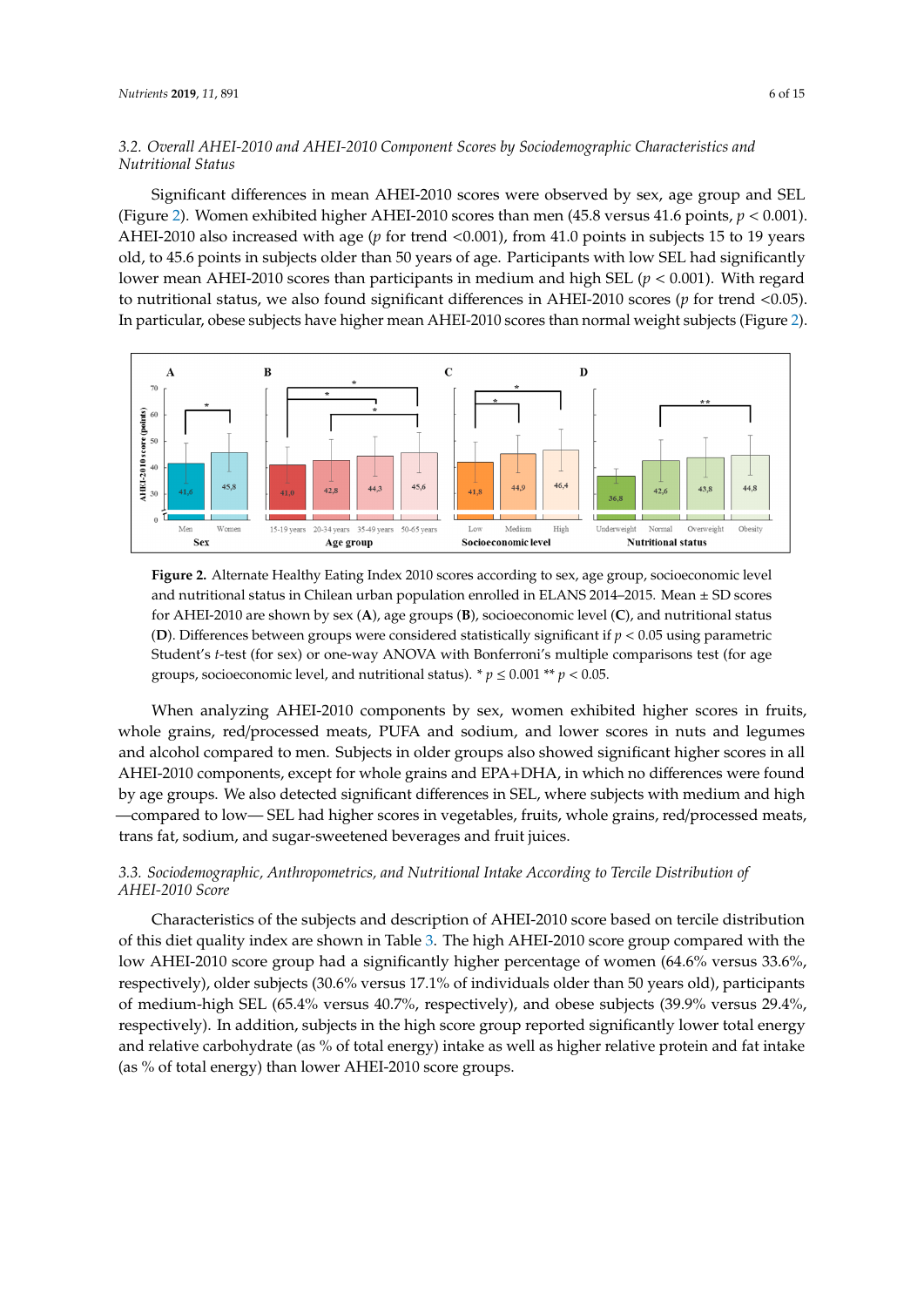# *3.2. Overall AHEI-2010 and AHEI-2010 Component Scores by Sociodemographic Characteristics and 3.2. Overall AHEI-2010 and AHEI-2010 Component Scores by Sociodemographic Characteristics and Nutritional Status Nutritional Status*

Significant differences in mean AHEI-2010 scores were observed by sex, age group and SEL Significant differences in mean AHEI-2010 scores were observed by sex, age group and SEL (Figure 2). Women exhibited higher AHEI-2010 scores than men (45.8 versus 41.6 points, *p* < 0.001). (Figure [2\)](#page-5-0). Women exhibited higher AHEI-2010 scores than men (45.8 versus 41.6 points, *p* < 0.001). AHEI-2010 also increased with age (*p* for trend <0.001), from 41.0 points in subjects 15 to 19 years old, to 45.6 points in subjects older than 50 years of age. Participants with low SEL had significantly lower mean AHEI-2010 scores than participants in medium and high SEL ( $p < 0.001$ ). With regard to nutritional status, we also found significant differences in AHEI-2010 scores (*p* for trend <0.05). In particular, obese subjects have higher mean AHEI-2010 scores than normal weight subjects (Figure 2). particular, obese subjects have higher mean AHEI-2010 scores than normal weight subjects (Fig[ure](#page-5-0)

<span id="page-5-0"></span>

**Figure 2.** Alternate Healthy Eating Index 2010 scores according to sex, age group, socioeconomic level **Figure 2.** Alternate Healthy Eating Index 2010 scores according to sex, age group, socioeconomic level and nutritional status in Chilean urban population enrolled in ELANS 2014–2015. Mean  $\pm$  SD scores for AHEI-2010 are shown by sex (**A**), age groups (**B**), socioeconomic level (**C**), and nutritional status (**D**). Differences between groups were considered statistically significant if *p* < 0.05 using parametric Student's *t*-test (for sex) or one-way ANOVA with Bonferroni's multiple comparisons test (for age groups, socioeconomic level, and nutritional status).  $* p \leq 0.001 ** p < 0.05$ . and nutritional status in Chilean urban population enrolled in ELANS 2014–2015. Mean  $\pm$  SD scores<br>for AHEI-2010 are shown by sex (A), age groups (B), socioeconomic level (C), and nutritional status<br>(D). Differences betw

When analyzing AHEI-2010 components by sex, women exhibited higher scores in fruits, whole grains, red/processed meats, PUFA and sodium, and lower scores in nuts and legumes and alcohol compared to men. Subjects in older groups also showed significant higher scores in all AHEI-2010 components, except for whole grains and EPA+DHA, in which no differences were found by age groups. We also detected significant differences in SEL, where subjects with medium and high compared to low— SEL had higher scores in vegetables, fruits, whole grains, red/processed meats, —compared to low— SEL had higher scores in vegetables, fruits, whole grains, red/processed meats, trans fat, sodium, and sugar-sweetened beverages and fruit juices. trans fat, sodium, and sugar-sweetened beverages and fruit juices.

# *3.3. Sociodemographic, Anthropometrics, and Nutritional Intake According to Tercile Distribution of AHEI-3.3. Sociodemographic, Anthropometrics, and Nutritional Intake According to Tercile Distribution of 2010 Score AHEI-2010 Score*

Characteristics of the subjects and description of AHEI-2010 score based on tercile distribution of this diet quality index are shown in Table [3.](#page-6-0) The high AHEI-2010 score group compared with the of this diet quality index are shown in Table 3. The high AHEI-2010 score group compared with the low AHEI-2010 score group had a significantly higher percentage of women (64.6% versus 33.6%, respectively), older subjects (30.6% versus 17.1% of individuals older than 50 years old), participants respectively), older subjects (30.6% versus 17.1% of individuals older than 50 years old), participants of medium-high SEL (65.4% versus 40.7%, respectively), and obese subjects (39.9% versus 29.4%, of medium-high SEL (65.4% versus 40.7%, respectively), and obese subjects (39.9% versus 29.4%, respectively). In addition, subjects in the high score group reported significantly lower total energy respectively). In did altern, subjects in the high score group reported significantly fower total energy and relative carbohydrate (as % of total energy) intake as well as higher relative protein and fat intake and relative carbohydrate (as  $\frac{1}{2}$  of total energy) intervals the relative protein and fat intake  $\frac{1}{2}$ (as % of total energy) than lower AHEI-2010 score groups. (as % of total energy) than lower AHEI-2010 score groups.Characteristics of the subjects and description of AHEI-2010 score based on tercile distribution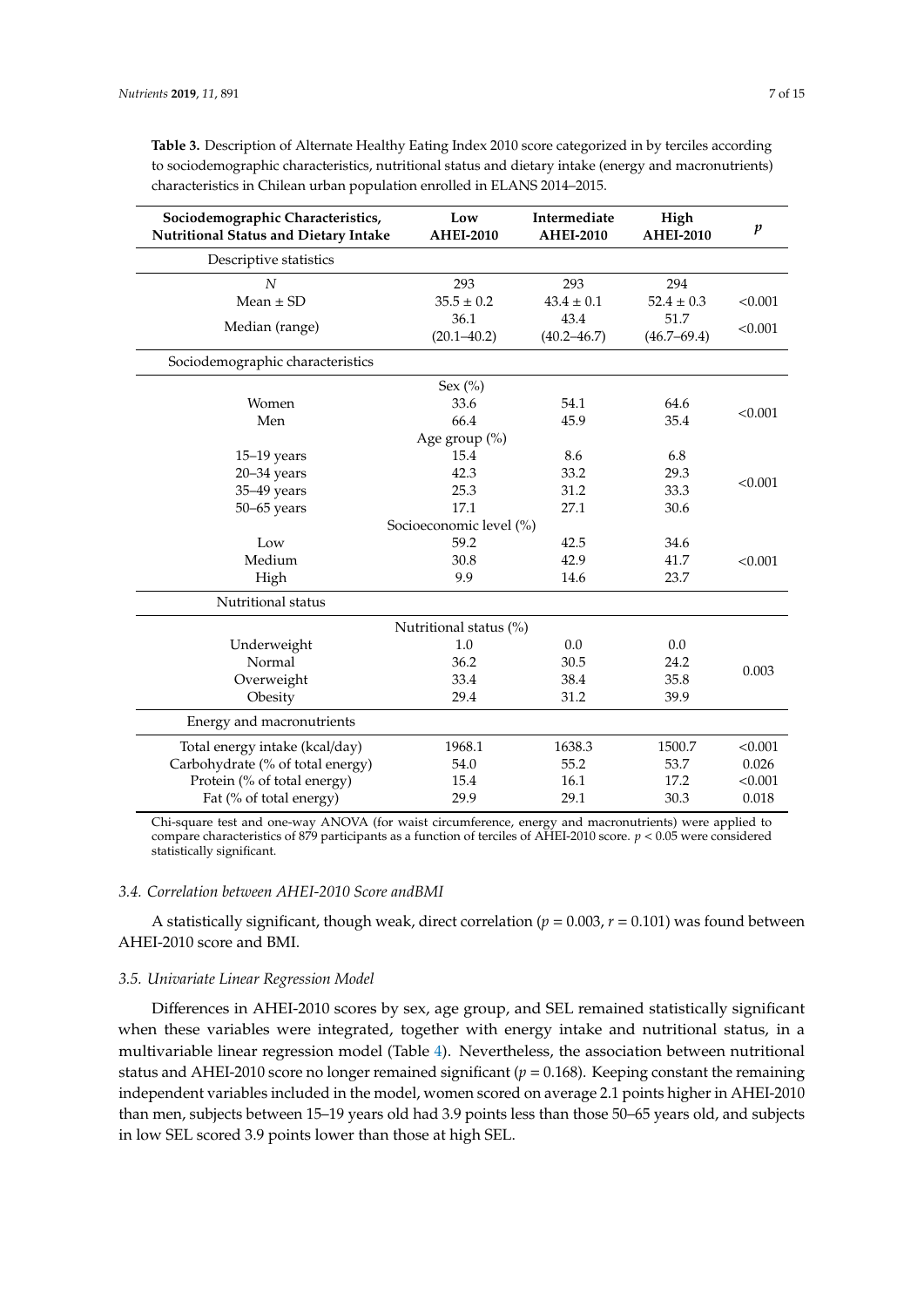| Sociodemographic Characteristics,<br><b>Nutritional Status and Dietary Intake</b> | Low<br><b>AHEI-2010</b> | Intermediate<br><b>AHEI-2010</b> | High<br><b>AHEI-2010</b> | $\boldsymbol{p}$ |  |  |  |
|-----------------------------------------------------------------------------------|-------------------------|----------------------------------|--------------------------|------------------|--|--|--|
| Descriptive statistics                                                            |                         |                                  |                          |                  |  |  |  |
| $\boldsymbol{N}$                                                                  | 293                     | 293                              | 294                      |                  |  |  |  |
| Mean $\pm$ SD                                                                     | $35.5 \pm 0.2$          | $43.4 \pm 0.1$                   | $52.4 \pm 0.3$           | < 0.001          |  |  |  |
| Median (range)                                                                    | 36.1                    | 43.4                             | 51.7                     | < 0.001          |  |  |  |
|                                                                                   | $(20.1 - 40.2)$         | $(40.2 - 46.7)$                  | $(46.7 - 69.4)$          |                  |  |  |  |
| Sociodemographic characteristics                                                  |                         |                                  |                          |                  |  |  |  |
|                                                                                   | Sex $(\% )$             |                                  |                          |                  |  |  |  |
| Women                                                                             | 33.6                    | 54.1                             | 64.6                     |                  |  |  |  |
| Men                                                                               | 66.4                    | 45.9                             | 35.4                     | < 0.001          |  |  |  |
|                                                                                   | Age group (%)           |                                  |                          |                  |  |  |  |
| $15-19$ years                                                                     | 15.4                    | 8.6                              | 6.8                      |                  |  |  |  |
| $20 - 34$ years                                                                   | 42.3                    | 33.2                             | 29.3                     | < 0.001          |  |  |  |
| 35-49 years                                                                       | 25.3                    | 31.2                             | 33.3                     |                  |  |  |  |
| $50 - 65$ years                                                                   | 17.1                    | 27.1                             | 30.6                     |                  |  |  |  |
|                                                                                   | Socioeconomic level (%) |                                  |                          |                  |  |  |  |
| Low                                                                               | 59.2                    | 42.5                             | 34.6                     |                  |  |  |  |
| Medium                                                                            | 30.8                    | 42.9                             | 41.7                     | < 0.001          |  |  |  |
| High                                                                              | 9.9                     | 14.6                             | 23.7                     |                  |  |  |  |
| Nutritional status                                                                |                         |                                  |                          |                  |  |  |  |
|                                                                                   | Nutritional status (%)  |                                  |                          |                  |  |  |  |
| Underweight                                                                       | 1.0                     | 0.0                              | 0.0                      |                  |  |  |  |
| Normal                                                                            | 36.2                    | 30.5                             | 24.2                     | 0.003            |  |  |  |
| Overweight                                                                        | 33.4                    | 38.4                             | 35.8                     |                  |  |  |  |
| Obesity                                                                           | 29.4                    | 31.2                             | 39.9                     |                  |  |  |  |
| Energy and macronutrients                                                         |                         |                                  |                          |                  |  |  |  |
| Total energy intake (kcal/day)                                                    | 1968.1                  | 1638.3                           | 1500.7                   | < 0.001          |  |  |  |
| Carbohydrate (% of total energy)                                                  | 54.0                    | 55.2                             | 53.7                     | 0.026            |  |  |  |
| Protein (% of total energy)                                                       | 15.4                    | 16.1                             | 17.2                     | < 0.001          |  |  |  |
| Fat (% of total energy)                                                           | 29.9                    | 29.1                             | 30.3                     | 0.018            |  |  |  |

<span id="page-6-0"></span>**Table 3.** Description of Alternate Healthy Eating Index 2010 score categorized in by terciles according to sociodemographic characteristics, nutritional status and dietary intake (energy and macronutrients) characteristics in Chilean urban population enrolled in ELANS 2014–2015.

Chi-square test and one-way ANOVA (for waist circumference, energy and macronutrients) were applied to compare characteristics of 879 participants as a function of terciles of AHEI-2010 score. *p* < 0.05 were considered statistically significant.

# *3.4. Correlation between AHEI-2010 Score andBMI*

A statistically significant, though weak, direct correlation ( $p = 0.003$ ,  $r = 0.101$ ) was found between AHEI-2010 score and BMI.

## *3.5. Univariate Linear Regression Model*

Differences in AHEI-2010 scores by sex, age group, and SEL remained statistically significant when these variables were integrated, together with energy intake and nutritional status, in a multivariable linear regression model (Table [4\)](#page-7-0). Nevertheless, the association between nutritional status and AHEI-2010 score no longer remained significant ( $p = 0.168$ ). Keeping constant the remaining independent variables included in the model, women scored on average 2.1 points higher in AHEI-2010 than men, subjects between 15–19 years old had 3.9 points less than those 50–65 years old, and subjects in low SEL scored 3.9 points lower than those at high SEL.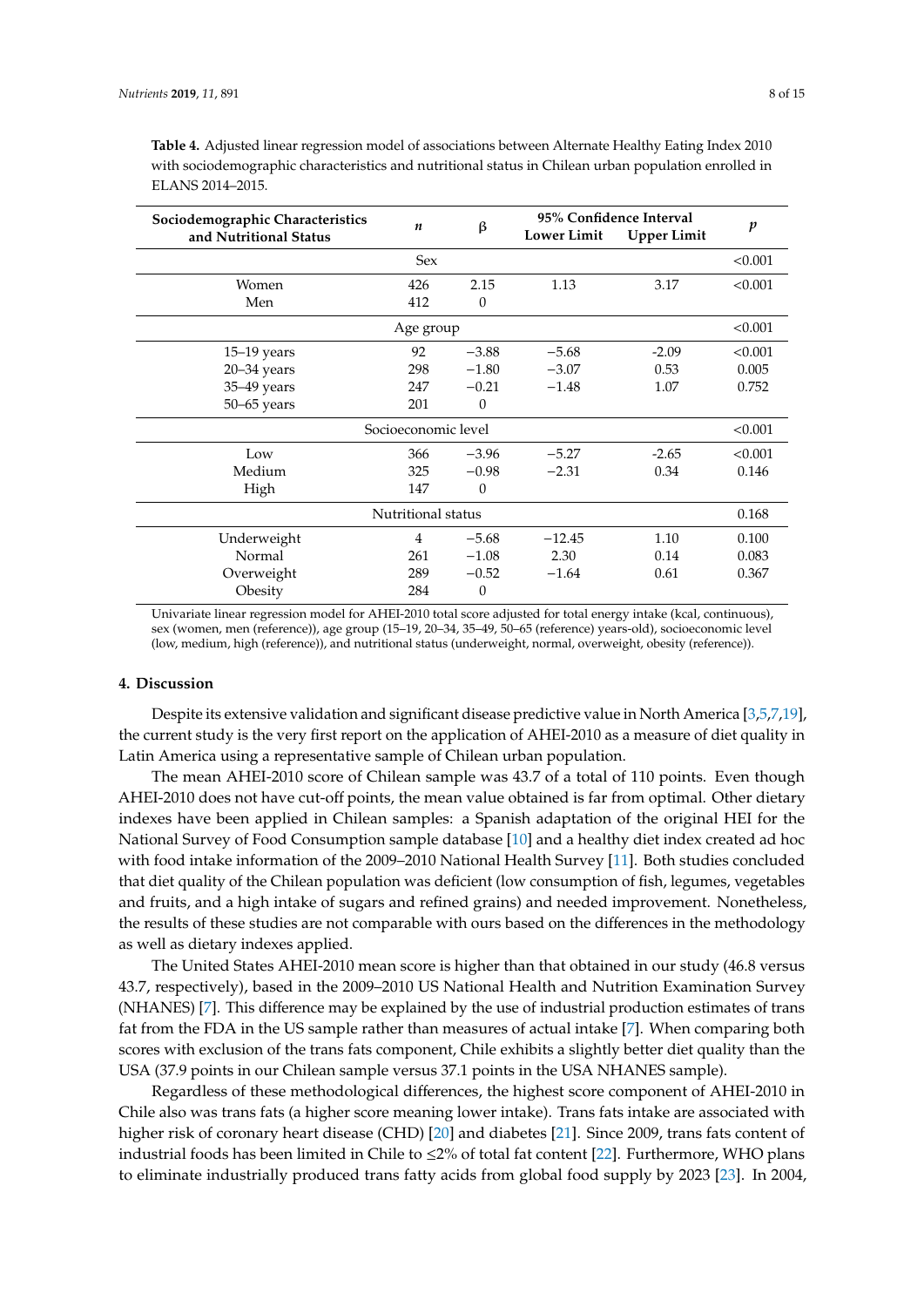| Sociodemographic Characteristics<br>and Nutritional Status |                  | 95% Confidence Interval |                    |                    |                  |
|------------------------------------------------------------|------------------|-------------------------|--------------------|--------------------|------------------|
|                                                            | $\boldsymbol{n}$ | β                       | <b>Lower Limit</b> | <b>Upper Limit</b> | $\boldsymbol{p}$ |
|                                                            | <b>Sex</b>       |                         |                    |                    | < 0.001          |
| Women                                                      | 426              | 2.15                    | 1.13               | 3.17               | < 0.001          |
| Men                                                        | 412              | $\theta$                |                    |                    |                  |
|                                                            | Age group        |                         |                    |                    | < 0.001          |
| $15-19$ years                                              | 92               | $-3.88$                 | $-5.68$            | $-2.09$            | < 0.001          |
| $20 - 34$ years                                            | 298              | $-1.80$                 | $-3.07$            | 0.53               | 0.005            |
| 35-49 years                                                | 247              | $-0.21$                 | $-1.48$            | 1.07               | 0.752            |
| $50 - 65$ years                                            | 201              | $\boldsymbol{0}$        |                    |                    |                  |
| Socioeconomic level                                        |                  |                         |                    |                    | < 0.001          |
| Low                                                        | 366              | $-3.96$                 | $-5.27$            | $-2.65$            | < 0.001          |
| Medium                                                     | 325              | $-0.98$                 | $-2.31$            | 0.34               | 0.146            |
| High                                                       | 147              | $\theta$                |                    |                    |                  |
| Nutritional status                                         |                  |                         |                    | 0.168              |                  |
| Underweight                                                | $\overline{4}$   | $-5.68$                 | $-12.45$           | 1.10               | 0.100            |
| Normal                                                     | 261              | $-1.08$                 | 2.30               | 0.14               | 0.083            |
| Overweight                                                 | 289              | $-0.52$                 | $-1.64$            | 0.61               | 0.367            |
| Obesity                                                    | 284              | $\theta$                |                    |                    |                  |

<span id="page-7-0"></span>**Table 4.** Adjusted linear regression model of associations between Alternate Healthy Eating Index 2010 with sociodemographic characteristics and nutritional status in Chilean urban population enrolled in ELANS 2014–2015.

Univariate linear regression model for AHEI-2010 total score adjusted for total energy intake (kcal, continuous), sex (women, men (reference)), age group (15–19, 20–34, 35–49, 50–65 (reference) years-old), socioeconomic level (low, medium, high (reference)), and nutritional status (underweight, normal, overweight, obesity (reference)).

#### **4. Discussion**

Despite its extensive validation and significant disease predictive value in North America [\[3](#page-10-2)[,5](#page-10-4)[,7](#page-11-1)[,19\]](#page-11-13), the current study is the very first report on the application of AHEI-2010 as a measure of diet quality in Latin America using a representative sample of Chilean urban population.

The mean AHEI-2010 score of Chilean sample was 43.7 of a total of 110 points. Even though AHEI-2010 does not have cut-off points, the mean value obtained is far from optimal. Other dietary indexes have been applied in Chilean samples: a Spanish adaptation of the original HEI for the National Survey of Food Consumption sample database [\[10\]](#page-11-4) and a healthy diet index created ad hoc with food intake information of the 2009–2010 National Health Survey [\[11\]](#page-11-5). Both studies concluded that diet quality of the Chilean population was deficient (low consumption of fish, legumes, vegetables and fruits, and a high intake of sugars and refined grains) and needed improvement. Nonetheless, the results of these studies are not comparable with ours based on the differences in the methodology as well as dietary indexes applied.

The United States AHEI-2010 mean score is higher than that obtained in our study (46.8 versus 43.7, respectively), based in the 2009–2010 US National Health and Nutrition Examination Survey (NHANES) [\[7\]](#page-11-1). This difference may be explained by the use of industrial production estimates of trans fat from the FDA in the US sample rather than measures of actual intake [\[7\]](#page-11-1). When comparing both scores with exclusion of the trans fats component, Chile exhibits a slightly better diet quality than the USA (37.9 points in our Chilean sample versus 37.1 points in the USA NHANES sample).

Regardless of these methodological differences, the highest score component of AHEI-2010 in Chile also was trans fats (a higher score meaning lower intake). Trans fats intake are associated with higher risk of coronary heart disease (CHD) [\[20\]](#page-11-14) and diabetes [\[21\]](#page-11-15). Since 2009, trans fats content of industrial foods has been limited in Chile to  $\leq 2\%$  of total fat content [\[22\]](#page-11-16). Furthermore, WHO plans to eliminate industrially produced trans fatty acids from global food supply by 2023 [\[23\]](#page-11-17). In 2004,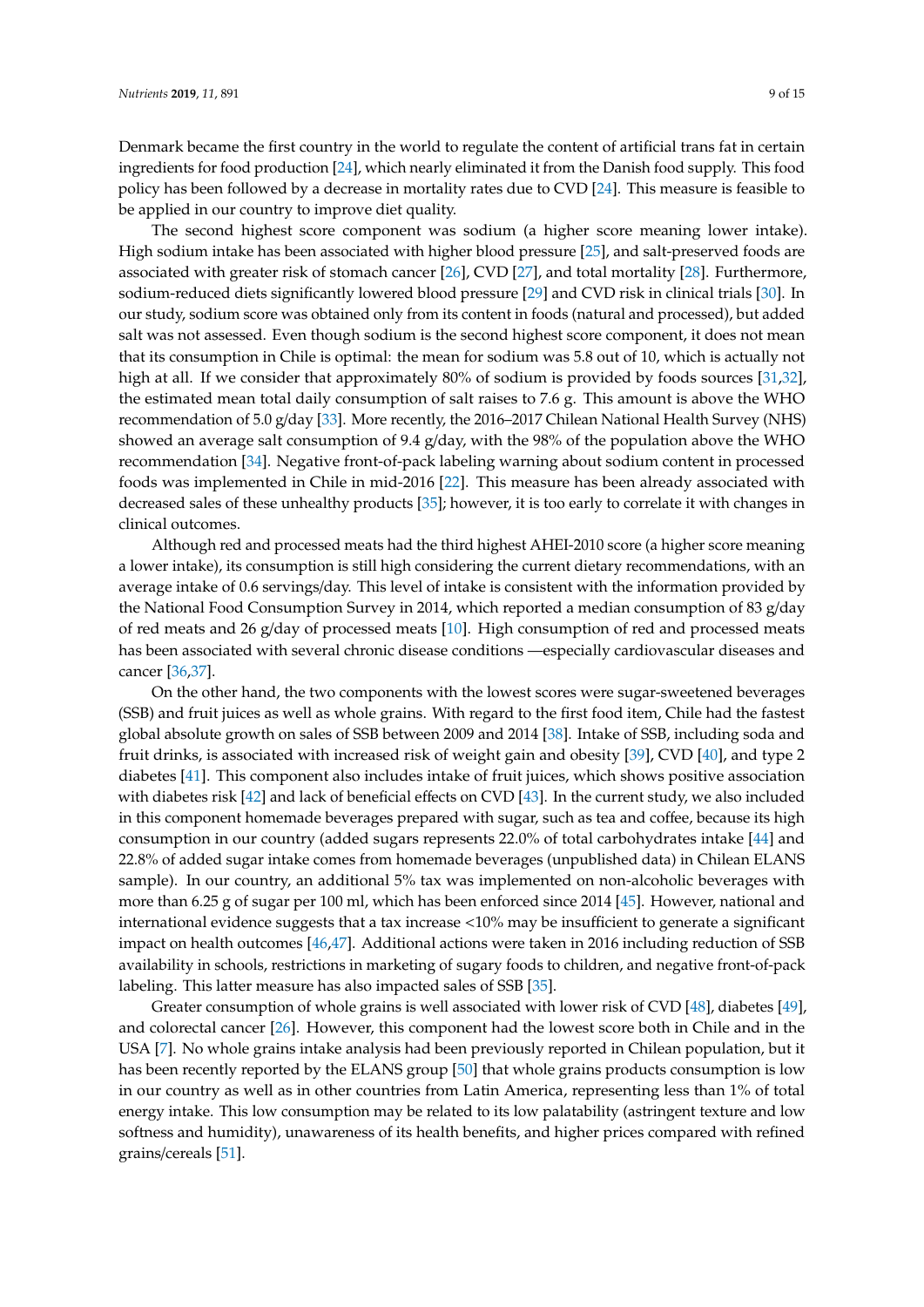Denmark became the first country in the world to regulate the content of artificial trans fat in certain ingredients for food production [\[24\]](#page-11-18), which nearly eliminated it from the Danish food supply. This food policy has been followed by a decrease in mortality rates due to CVD [\[24\]](#page-11-18). This measure is feasible to be applied in our country to improve diet quality.

The second highest score component was sodium (a higher score meaning lower intake). High sodium intake has been associated with higher blood pressure [\[25\]](#page-11-19), and salt-preserved foods are associated with greater risk of stomach cancer [\[26\]](#page-12-0), CVD [\[27\]](#page-12-1), and total mortality [\[28\]](#page-12-2). Furthermore, sodium-reduced diets significantly lowered blood pressure [\[29\]](#page-12-3) and CVD risk in clinical trials [\[30\]](#page-12-4). In our study, sodium score was obtained only from its content in foods (natural and processed), but added salt was not assessed. Even though sodium is the second highest score component, it does not mean that its consumption in Chile is optimal: the mean for sodium was 5.8 out of 10, which is actually not high at all. If we consider that approximately 80% of sodium is provided by foods sources [\[31,](#page-12-5)[32\]](#page-12-6), the estimated mean total daily consumption of salt raises to 7.6 g. This amount is above the WHO recommendation of 5.0 g/day [\[33\]](#page-12-7). More recently, the 2016–2017 Chilean National Health Survey (NHS) showed an average salt consumption of 9.4 g/day, with the 98% of the population above the WHO recommendation [\[34\]](#page-12-8). Negative front-of-pack labeling warning about sodium content in processed foods was implemented in Chile in mid-2016 [\[22\]](#page-11-16). This measure has been already associated with decreased sales of these unhealthy products [\[35\]](#page-12-9); however, it is too early to correlate it with changes in clinical outcomes.

Although red and processed meats had the third highest AHEI-2010 score (a higher score meaning a lower intake), its consumption is still high considering the current dietary recommendations, with an average intake of 0.6 servings/day. This level of intake is consistent with the information provided by the National Food Consumption Survey in 2014, which reported a median consumption of 83 g/day of red meats and 26 g/day of processed meats [\[10\]](#page-11-4). High consumption of red and processed meats has been associated with several chronic disease conditions —especially cardiovascular diseases and cancer [\[36,](#page-12-10)[37\]](#page-12-11).

On the other hand, the two components with the lowest scores were sugar-sweetened beverages (SSB) and fruit juices as well as whole grains. With regard to the first food item, Chile had the fastest global absolute growth on sales of SSB between 2009 and 2014 [\[38\]](#page-12-12). Intake of SSB, including soda and fruit drinks, is associated with increased risk of weight gain and obesity [\[39\]](#page-12-13), CVD [\[40\]](#page-12-14), and type 2 diabetes [\[41\]](#page-12-15). This component also includes intake of fruit juices, which shows positive association with diabetes risk [\[42\]](#page-12-16) and lack of beneficial effects on CVD [\[43\]](#page-12-17). In the current study, we also included in this component homemade beverages prepared with sugar, such as tea and coffee, because its high consumption in our country (added sugars represents 22.0% of total carbohydrates intake [\[44\]](#page-12-18) and 22.8% of added sugar intake comes from homemade beverages (unpublished data) in Chilean ELANS sample). In our country, an additional 5% tax was implemented on non-alcoholic beverages with more than 6.25 g of sugar per 100 ml, which has been enforced since 2014 [\[45\]](#page-12-19). However, national and international evidence suggests that a tax increase <10% may be insufficient to generate a significant impact on health outcomes [\[46,](#page-13-0)[47\]](#page-13-1). Additional actions were taken in 2016 including reduction of SSB availability in schools, restrictions in marketing of sugary foods to children, and negative front-of-pack labeling. This latter measure has also impacted sales of SSB [\[35\]](#page-12-9).

Greater consumption of whole grains is well associated with lower risk of CVD [\[48\]](#page-13-2), diabetes [\[49\]](#page-13-3), and colorectal cancer [\[26\]](#page-12-0). However, this component had the lowest score both in Chile and in the USA [\[7\]](#page-11-1). No whole grains intake analysis had been previously reported in Chilean population, but it has been recently reported by the ELANS group [\[50\]](#page-13-4) that whole grains products consumption is low in our country as well as in other countries from Latin America, representing less than 1% of total energy intake. This low consumption may be related to its low palatability (astringent texture and low softness and humidity), unawareness of its health benefits, and higher prices compared with refined grains/cereals [\[51\]](#page-13-5).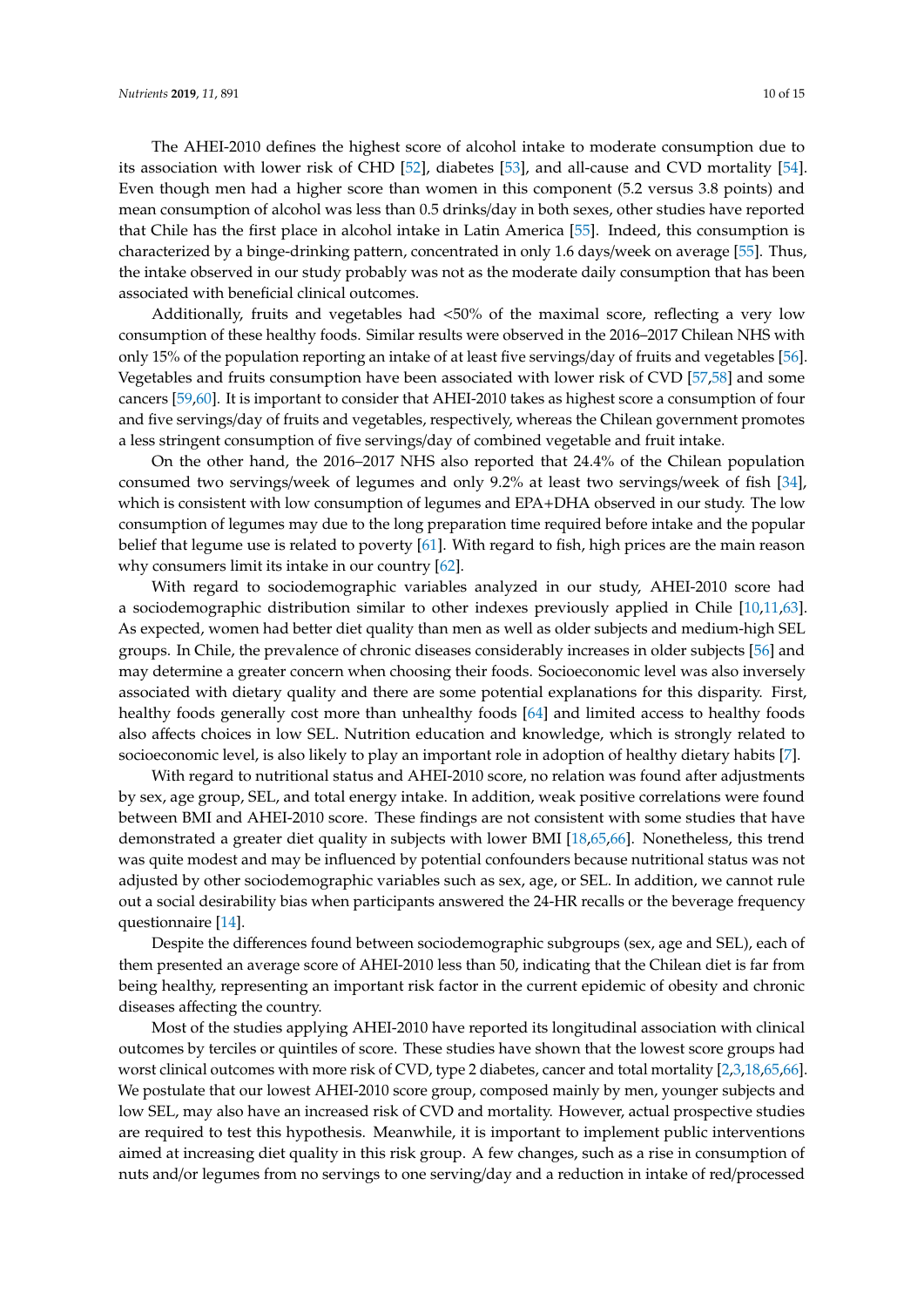The AHEI-2010 defines the highest score of alcohol intake to moderate consumption due to its association with lower risk of CHD [\[52\]](#page-13-6), diabetes [\[53\]](#page-13-7), and all-cause and CVD mortality [\[54\]](#page-13-8). Even though men had a higher score than women in this component (5.2 versus 3.8 points) and mean consumption of alcohol was less than 0.5 drinks/day in both sexes, other studies have reported that Chile has the first place in alcohol intake in Latin America [\[55\]](#page-13-9). Indeed, this consumption is characterized by a binge-drinking pattern, concentrated in only 1.6 days/week on average [\[55\]](#page-13-9). Thus, the intake observed in our study probably was not as the moderate daily consumption that has been associated with beneficial clinical outcomes.

Additionally, fruits and vegetables had <50% of the maximal score, reflecting a very low consumption of these healthy foods. Similar results were observed in the 2016–2017 Chilean NHS with only 15% of the population reporting an intake of at least five servings/day of fruits and vegetables [\[56\]](#page-13-10). Vegetables and fruits consumption have been associated with lower risk of CVD [\[57,](#page-13-11)[58\]](#page-13-12) and some cancers [\[59](#page-13-13)[,60\]](#page-13-14). It is important to consider that AHEI-2010 takes as highest score a consumption of four and five servings/day of fruits and vegetables, respectively, whereas the Chilean government promotes a less stringent consumption of five servings/day of combined vegetable and fruit intake.

On the other hand, the 2016–2017 NHS also reported that 24.4% of the Chilean population consumed two servings/week of legumes and only 9.2% at least two servings/week of fish [\[34\]](#page-12-8), which is consistent with low consumption of legumes and EPA+DHA observed in our study. The low consumption of legumes may due to the long preparation time required before intake and the popular belief that legume use is related to poverty [\[61\]](#page-13-15). With regard to fish, high prices are the main reason why consumers limit its intake in our country [\[62\]](#page-13-16).

With regard to sociodemographic variables analyzed in our study, AHEI-2010 score had a sociodemographic distribution similar to other indexes previously applied in Chile [\[10,](#page-11-4)[11,](#page-11-5)[63\]](#page-13-17). As expected, women had better diet quality than men as well as older subjects and medium-high SEL groups. In Chile, the prevalence of chronic diseases considerably increases in older subjects [\[56\]](#page-13-10) and may determine a greater concern when choosing their foods. Socioeconomic level was also inversely associated with dietary quality and there are some potential explanations for this disparity. First, healthy foods generally cost more than unhealthy foods [\[64\]](#page-13-18) and limited access to healthy foods also affects choices in low SEL. Nutrition education and knowledge, which is strongly related to socioeconomic level, is also likely to play an important role in adoption of healthy dietary habits [\[7\]](#page-11-1).

With regard to nutritional status and AHEI-2010 score, no relation was found after adjustments by sex, age group, SEL, and total energy intake. In addition, weak positive correlations were found between BMI and AHEI-2010 score. These findings are not consistent with some studies that have demonstrated a greater diet quality in subjects with lower BMI [\[18](#page-11-12)[,65](#page-14-0)[,66\]](#page-14-1). Nonetheless, this trend was quite modest and may be influenced by potential confounders because nutritional status was not adjusted by other sociodemographic variables such as sex, age, or SEL. In addition, we cannot rule out a social desirability bias when participants answered the 24-HR recalls or the beverage frequency questionnaire [\[14\]](#page-11-8).

Despite the differences found between sociodemographic subgroups (sex, age and SEL), each of them presented an average score of AHEI-2010 less than 50, indicating that the Chilean diet is far from being healthy, representing an important risk factor in the current epidemic of obesity and chronic diseases affecting the country.

Most of the studies applying AHEI-2010 have reported its longitudinal association with clinical outcomes by terciles or quintiles of score. These studies have shown that the lowest score groups had worst clinical outcomes with more risk of CVD, type 2 diabetes, cancer and total mortality [\[2,](#page-10-1)[3,](#page-10-2)[18](#page-11-12)[,65](#page-14-0)[,66\]](#page-14-1). We postulate that our lowest AHEI-2010 score group, composed mainly by men, younger subjects and low SEL, may also have an increased risk of CVD and mortality. However, actual prospective studies are required to test this hypothesis. Meanwhile, it is important to implement public interventions aimed at increasing diet quality in this risk group. A few changes, such as a rise in consumption of nuts and/or legumes from no servings to one serving/day and a reduction in intake of red/processed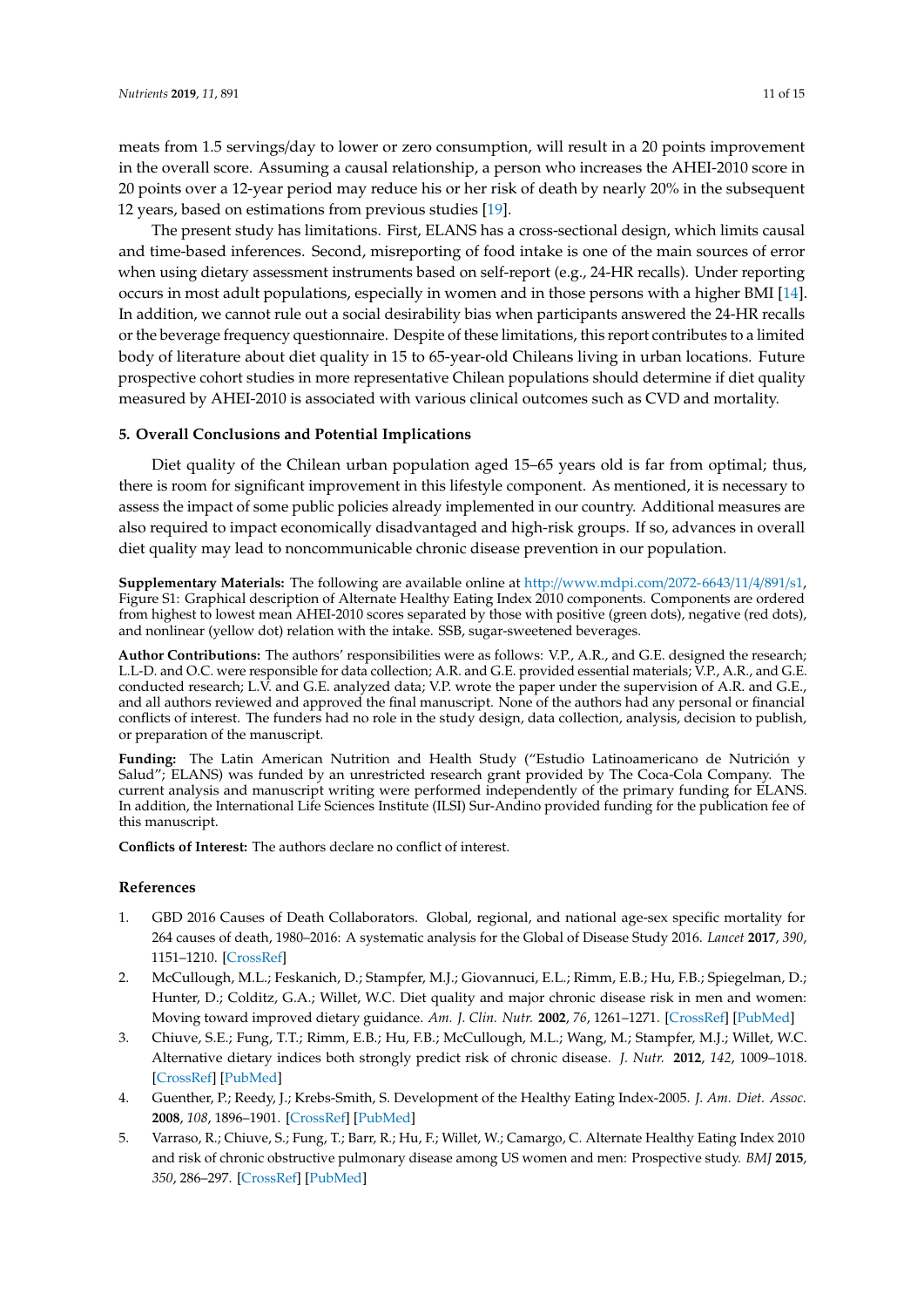meats from 1.5 servings/day to lower or zero consumption, will result in a 20 points improvement in the overall score. Assuming a causal relationship, a person who increases the AHEI-2010 score in 20 points over a 12-year period may reduce his or her risk of death by nearly 20% in the subsequent 12 years, based on estimations from previous studies [\[19\]](#page-11-13).

The present study has limitations. First, ELANS has a cross-sectional design, which limits causal and time-based inferences. Second, misreporting of food intake is one of the main sources of error when using dietary assessment instruments based on self-report (e.g., 24-HR recalls). Under reporting occurs in most adult populations, especially in women and in those persons with a higher BMI [\[14\]](#page-11-8). In addition, we cannot rule out a social desirability bias when participants answered the 24-HR recalls or the beverage frequency questionnaire. Despite of these limitations, this report contributes to a limited body of literature about diet quality in 15 to 65-year-old Chileans living in urban locations. Future prospective cohort studies in more representative Chilean populations should determine if diet quality measured by AHEI-2010 is associated with various clinical outcomes such as CVD and mortality.

## **5. Overall Conclusions and Potential Implications**

Diet quality of the Chilean urban population aged 15–65 years old is far from optimal; thus, there is room for significant improvement in this lifestyle component. As mentioned, it is necessary to assess the impact of some public policies already implemented in our country. Additional measures are also required to impact economically disadvantaged and high-risk groups. If so, advances in overall diet quality may lead to noncommunicable chronic disease prevention in our population.

**Supplementary Materials:** The following are available online at http://[www.mdpi.com](http://www.mdpi.com/2072-6643/11/4/891/s1)/2072-6643/11/4/891/s1, Figure S1: Graphical description of Alternate Healthy Eating Index 2010 components. Components are ordered from highest to lowest mean AHEI-2010 scores separated by those with positive (green dots), negative (red dots), and nonlinear (yellow dot) relation with the intake. SSB, sugar-sweetened beverages.

**Author Contributions:** The authors' responsibilities were as follows: V.P., A.R., and G.E. designed the research; L.L-D. and O.C. were responsible for data collection; A.R. and G.E. provided essential materials; V.P., A.R., and G.E. conducted research; L.V. and G.E. analyzed data; V.P. wrote the paper under the supervision of A.R. and G.E., and all authors reviewed and approved the final manuscript. None of the authors had any personal or financial conflicts of interest. The funders had no role in the study design, data collection, analysis, decision to publish, or preparation of the manuscript.

**Funding:** The Latin American Nutrition and Health Study ("Estudio Latinoamericano de Nutrición y Salud"; ELANS) was funded by an unrestricted research grant provided by The Coca-Cola Company. The current analysis and manuscript writing were performed independently of the primary funding for ELANS. In addition, the International Life Sciences Institute (ILSI) Sur-Andino provided funding for the publication fee of this manuscript.

**Conflicts of Interest:** The authors declare no conflict of interest.

#### **References**

- <span id="page-10-0"></span>1. GBD 2016 Causes of Death Collaborators. Global, regional, and national age-sex specific mortality for 264 causes of death, 1980–2016: A systematic analysis for the Global of Disease Study 2016. *Lancet* **2017**, *390*, 1151–1210. [\[CrossRef\]](http://dx.doi.org/10.1016/S0140-6736(17)32152-9)
- <span id="page-10-1"></span>2. McCullough, M.L.; Feskanich, D.; Stampfer, M.J.; Giovannuci, E.L.; Rimm, E.B.; Hu, F.B.; Spiegelman, D.; Hunter, D.; Colditz, G.A.; Willet, W.C. Diet quality and major chronic disease risk in men and women: Moving toward improved dietary guidance. *Am. J. Clin. Nutr.* **2002**, *76*, 1261–1271. [\[CrossRef\]](http://dx.doi.org/10.1093/ajcn/76.6.1261) [\[PubMed\]](http://www.ncbi.nlm.nih.gov/pubmed/12450892)
- <span id="page-10-2"></span>3. Chiuve, S.E.; Fung, T.T.; Rimm, E.B.; Hu, F.B.; McCullough, M.L.; Wang, M.; Stampfer, M.J.; Willet, W.C. Alternative dietary indices both strongly predict risk of chronic disease. *J. Nutr.* **2012**, *142*, 1009–1018. [\[CrossRef\]](http://dx.doi.org/10.3945/jn.111.157222) [\[PubMed\]](http://www.ncbi.nlm.nih.gov/pubmed/22513989)
- <span id="page-10-3"></span>4. Guenther, P.; Reedy, J.; Krebs-Smith, S. Development of the Healthy Eating Index-2005. *J. Am. Diet. Assoc.* **2008**, *108*, 1896–1901. [\[CrossRef\]](http://dx.doi.org/10.1016/j.jada.2008.08.016) [\[PubMed\]](http://www.ncbi.nlm.nih.gov/pubmed/18954580)
- <span id="page-10-4"></span>5. Varraso, R.; Chiuve, S.; Fung, T.; Barr, R.; Hu, F.; Willet, W.; Camargo, C. Alternate Healthy Eating Index 2010 and risk of chronic obstructive pulmonary disease among US women and men: Prospective study. *BMJ* **2015**, *350*, 286–297. [\[CrossRef\]](http://dx.doi.org/10.1136/bmj.h286) [\[PubMed\]](http://www.ncbi.nlm.nih.gov/pubmed/25649042)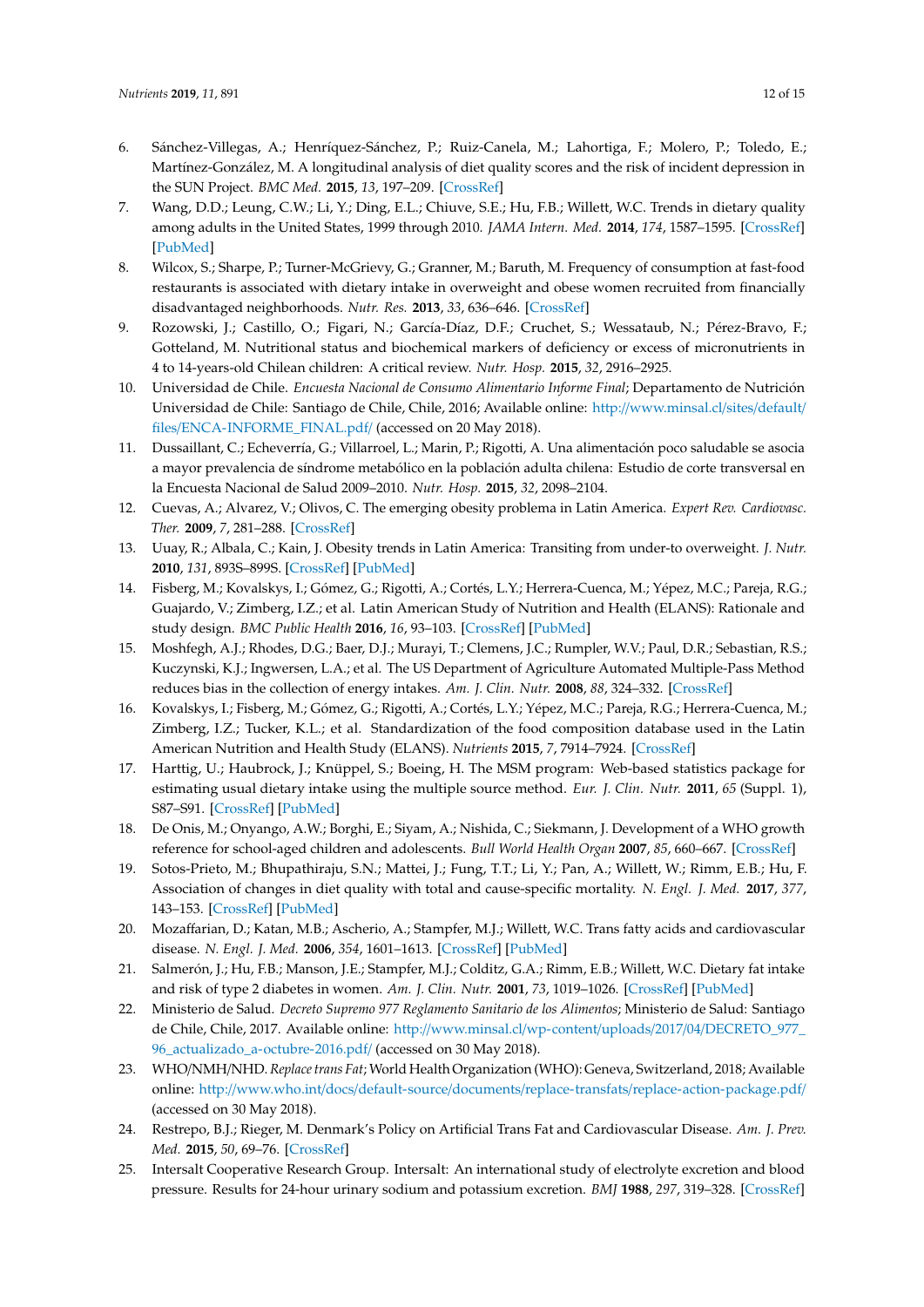- <span id="page-11-0"></span>6. Sánchez-Villegas, A.; Henríquez-Sánchez, P.; Ruiz-Canela, M.; Lahortiga, F.; Molero, P.; Toledo, E.; Martínez-González, M. A longitudinal analysis of diet quality scores and the risk of incident depression in the SUN Project. *BMC Med.* **2015**, *13*, 197–209. [\[CrossRef\]](http://dx.doi.org/10.1186/s12916-015-0428-y)
- <span id="page-11-1"></span>7. Wang, D.D.; Leung, C.W.; Li, Y.; Ding, E.L.; Chiuve, S.E.; Hu, F.B.; Willett, W.C. Trends in dietary quality among adults in the United States, 1999 through 2010. *JAMA Intern. Med.* **2014**, *174*, 1587–1595. [\[CrossRef\]](http://dx.doi.org/10.1001/jamainternmed.2014.3422) [\[PubMed\]](http://www.ncbi.nlm.nih.gov/pubmed/25179639)
- <span id="page-11-2"></span>8. Wilcox, S.; Sharpe, P.; Turner-McGrievy, G.; Granner, M.; Baruth, M. Frequency of consumption at fast-food restaurants is associated with dietary intake in overweight and obese women recruited from financially disadvantaged neighborhoods. *Nutr. Res.* **2013**, *33*, 636–646. [\[CrossRef\]](http://dx.doi.org/10.1016/j.nutres.2013.05.007)
- <span id="page-11-3"></span>9. Rozowski, J.; Castillo, O.; Figari, N.; García-Díaz, D.F.; Cruchet, S.; Wessataub, N.; Pérez-Bravo, F.; Gotteland, M. Nutritional status and biochemical markers of deficiency or excess of micronutrients in 4 to 14-years-old Chilean children: A critical review. *Nutr. Hosp.* **2015**, *32*, 2916–2925.
- <span id="page-11-4"></span>10. Universidad de Chile. *Encuesta Nacional de Consumo Alimentario Informe Final*; Departamento de Nutrición Universidad de Chile: Santiago de Chile, Chile, 2016; Available online: http://[www.minsal.cl](http://www.minsal.cl/sites/default/files/ENCA-INFORME_FINAL.pdf/)/sites/default/ files/[ENCA-INFORME\\_FINAL.pdf](http://www.minsal.cl/sites/default/files/ENCA-INFORME_FINAL.pdf/)/ (accessed on 20 May 2018).
- <span id="page-11-5"></span>11. Dussaillant, C.; Echeverría, G.; Villarroel, L.; Marin, P.; Rigotti, A. Una alimentación poco saludable se asocia a mayor prevalencia de síndrome metabólico en la población adulta chilena: Estudio de corte transversal en la Encuesta Nacional de Salud 2009–2010. *Nutr. Hosp.* **2015**, *32*, 2098–2104.
- <span id="page-11-6"></span>12. Cuevas, A.; Alvarez, V.; Olivos, C. The emerging obesity problema in Latin America. *Expert Rev. Cardiovasc. Ther.* **2009**, *7*, 281–288. [\[CrossRef\]](http://dx.doi.org/10.1586/14779072.7.3.281)
- <span id="page-11-7"></span>13. Uuay, R.; Albala, C.; Kain, J. Obesity trends in Latin America: Transiting from under-to overweight. *J. Nutr.* **2010**, *131*, 893S–899S. [\[CrossRef\]](http://dx.doi.org/10.1093/jn/131.3.893S) [\[PubMed\]](http://www.ncbi.nlm.nih.gov/pubmed/11238781)
- <span id="page-11-8"></span>14. Fisberg, M.; Kovalskys, I.; Gómez, G.; Rigotti, A.; Cortés, L.Y.; Herrera-Cuenca, M.; Yépez, M.C.; Pareja, R.G.; Guajardo, V.; Zimberg, I.Z.; et al. Latin American Study of Nutrition and Health (ELANS): Rationale and study design. *BMC Public Health* **2016**, *16*, 93–103. [\[CrossRef\]](http://dx.doi.org/10.1186/s12889-016-2765-y) [\[PubMed\]](http://www.ncbi.nlm.nih.gov/pubmed/26829928)
- <span id="page-11-9"></span>15. Moshfegh, A.J.; Rhodes, D.G.; Baer, D.J.; Murayi, T.; Clemens, J.C.; Rumpler, W.V.; Paul, D.R.; Sebastian, R.S.; Kuczynski, K.J.; Ingwersen, L.A.; et al. The US Department of Agriculture Automated Multiple-Pass Method reduces bias in the collection of energy intakes. *Am. J. Clin. Nutr.* **2008**, *88*, 324–332. [\[CrossRef\]](http://dx.doi.org/10.1093/ajcn/88.2.324)
- <span id="page-11-10"></span>16. Kovalskys, I.; Fisberg, M.; Gómez, G.; Rigotti, A.; Cortés, L.Y.; Yépez, M.C.; Pareja, R.G.; Herrera-Cuenca, M.; Zimberg, I.Z.; Tucker, K.L.; et al. Standardization of the food composition database used in the Latin American Nutrition and Health Study (ELANS). *Nutrients* **2015**, *7*, 7914–7924. [\[CrossRef\]](http://dx.doi.org/10.3390/nu7095373)
- <span id="page-11-11"></span>17. Harttig, U.; Haubrock, J.; Knüppel, S.; Boeing, H. The MSM program: Web-based statistics package for estimating usual dietary intake using the multiple source method. *Eur. J. Clin. Nutr.* **2011**, *65* (Suppl. 1), S87–S91. [\[CrossRef\]](http://dx.doi.org/10.1038/ejcn.2011.92) [\[PubMed\]](http://www.ncbi.nlm.nih.gov/pubmed/21731011)
- <span id="page-11-12"></span>18. De Onis, M.; Onyango, A.W.; Borghi, E.; Siyam, A.; Nishida, C.; Siekmann, J. Development of a WHO growth reference for school-aged children and adolescents. *Bull World Health Organ* **2007**, *85*, 660–667. [\[CrossRef\]](http://dx.doi.org/10.2471/BLT.07.043497)
- <span id="page-11-13"></span>19. Sotos-Prieto, M.; Bhupathiraju, S.N.; Mattei, J.; Fung, T.T.; Li, Y.; Pan, A.; Willett, W.; Rimm, E.B.; Hu, F. Association of changes in diet quality with total and cause-specific mortality. *N. Engl. J. Med.* **2017**, *377*, 143–153. [\[CrossRef\]](http://dx.doi.org/10.1056/NEJMoa1613502) [\[PubMed\]](http://www.ncbi.nlm.nih.gov/pubmed/28700845)
- <span id="page-11-14"></span>20. Mozaffarian, D.; Katan, M.B.; Ascherio, A.; Stampfer, M.J.; Willett, W.C. Trans fatty acids and cardiovascular disease. *N. Engl. J. Med.* **2006**, *354*, 1601–1613. [\[CrossRef\]](http://dx.doi.org/10.1056/NEJMra054035) [\[PubMed\]](http://www.ncbi.nlm.nih.gov/pubmed/16611951)
- <span id="page-11-15"></span>21. Salmerón, J.; Hu, F.B.; Manson, J.E.; Stampfer, M.J.; Colditz, G.A.; Rimm, E.B.; Willett, W.C. Dietary fat intake and risk of type 2 diabetes in women. *Am. J. Clin. Nutr.* **2001**, *73*, 1019–1026. [\[CrossRef\]](http://dx.doi.org/10.1093/ajcn/73.6.1019) [\[PubMed\]](http://www.ncbi.nlm.nih.gov/pubmed/11382654)
- <span id="page-11-16"></span>22. Ministerio de Salud. *Decreto Supremo 977 Reglamento Sanitario de los Alimentos*; Ministerio de Salud: Santiago de Chile, Chile, 2017. Available online: http://www.minsal.cl/wp-content/uploads/2017/04/[DECRETO\\_977\\_](http://www.minsal.cl/wp-content/uploads/2017/04/DECRETO_977_96_actualizado_a-octubre-2016.pdf/) [96\\_actualizado\\_a-octubre-2016.pdf](http://www.minsal.cl/wp-content/uploads/2017/04/DECRETO_977_96_actualizado_a-octubre-2016.pdf/)/ (accessed on 30 May 2018).
- <span id="page-11-17"></span>23. WHO/NMH/NHD.*Replace trans Fat*; World Health Organization (WHO): Geneva, Switzerland, 2018; Available online: http://www.who.int/docs/default-source/documents/replace-transfats/[replace-action-package.pdf](http://www.who.int/docs/default-source/documents/replace-transfats/replace-action-package.pdf/)/ (accessed on 30 May 2018).
- <span id="page-11-18"></span>24. Restrepo, B.J.; Rieger, M. Denmark's Policy on Artificial Trans Fat and Cardiovascular Disease. *Am. J. Prev. Med.* **2015**, *50*, 69–76. [\[CrossRef\]](http://dx.doi.org/10.1016/j.amepre.2015.06.018)
- <span id="page-11-19"></span>25. Intersalt Cooperative Research Group. Intersalt: An international study of electrolyte excretion and blood pressure. Results for 24-hour urinary sodium and potassium excretion. *BMJ* **1988**, *297*, 319–328. [\[CrossRef\]](http://dx.doi.org/10.1136/bmj.297.6644.319)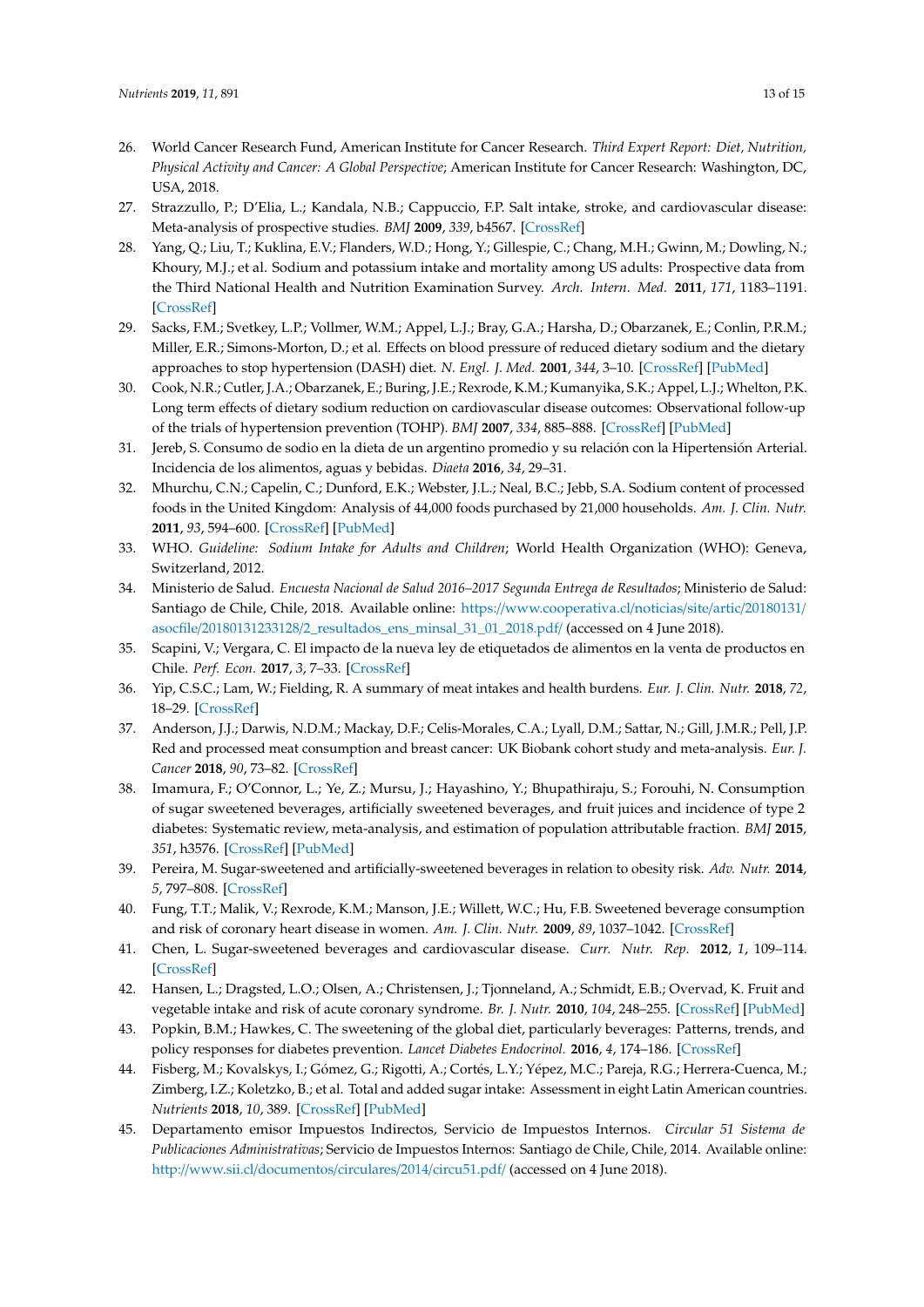- <span id="page-12-0"></span>26. World Cancer Research Fund, American Institute for Cancer Research. *Third Expert Report: Diet, Nutrition, Physical Activity and Cancer: A Global Perspective*; American Institute for Cancer Research: Washington, DC, USA, 2018.
- <span id="page-12-1"></span>27. Strazzullo, P.; D'Elia, L.; Kandala, N.B.; Cappuccio, F.P. Salt intake, stroke, and cardiovascular disease: Meta-analysis of prospective studies. *BMJ* **2009**, *339*, b4567. [\[CrossRef\]](http://dx.doi.org/10.1136/bmj.b4567)
- <span id="page-12-2"></span>28. Yang, Q.; Liu, T.; Kuklina, E.V.; Flanders, W.D.; Hong, Y.; Gillespie, C.; Chang, M.H.; Gwinn, M.; Dowling, N.; Khoury, M.J.; et al. Sodium and potassium intake and mortality among US adults: Prospective data from the Third National Health and Nutrition Examination Survey. *Arch. Intern. Med.* **2011**, *171*, 1183–1191. [\[CrossRef\]](http://dx.doi.org/10.1001/archinternmed.2011.257)
- <span id="page-12-3"></span>29. Sacks, F.M.; Svetkey, L.P.; Vollmer, W.M.; Appel, L.J.; Bray, G.A.; Harsha, D.; Obarzanek, E.; Conlin, P.R.M.; Miller, E.R.; Simons-Morton, D.; et al. Effects on blood pressure of reduced dietary sodium and the dietary approaches to stop hypertension (DASH) diet. *N. Engl. J. Med.* **2001**, *344*, 3–10. [\[CrossRef\]](http://dx.doi.org/10.1056/NEJM200101043440101) [\[PubMed\]](http://www.ncbi.nlm.nih.gov/pubmed/11136953)
- <span id="page-12-4"></span>30. Cook, N.R.; Cutler, J.A.; Obarzanek, E.; Buring, J.E.; Rexrode, K.M.; Kumanyika, S.K.; Appel, L.J.; Whelton, P.K. Long term effects of dietary sodium reduction on cardiovascular disease outcomes: Observational follow-up of the trials of hypertension prevention (TOHP). *BMJ* **2007**, *334*, 885–888. [\[CrossRef\]](http://dx.doi.org/10.1136/bmj.39147.604896.55) [\[PubMed\]](http://www.ncbi.nlm.nih.gov/pubmed/17449506)
- <span id="page-12-5"></span>31. Jereb, S. Consumo de sodio en la dieta de un argentino promedio y su relación con la Hipertensión Arterial. Incidencia de los alimentos, aguas y bebidas. *Diaeta* **2016**, *34*, 29–31.
- <span id="page-12-6"></span>32. Mhurchu, C.N.; Capelin, C.; Dunford, E.K.; Webster, J.L.; Neal, B.C.; Jebb, S.A. Sodium content of processed foods in the United Kingdom: Analysis of 44,000 foods purchased by 21,000 households. *Am. J. Clin. Nutr.* **2011**, *93*, 594–600. [\[CrossRef\]](http://dx.doi.org/10.3945/ajcn.110.004481) [\[PubMed\]](http://www.ncbi.nlm.nih.gov/pubmed/21191142)
- <span id="page-12-7"></span>33. WHO. *Guideline: Sodium Intake for Adults and Children*; World Health Organization (WHO): Geneva, Switzerland, 2012.
- <span id="page-12-8"></span>34. Ministerio de Salud. *Encuesta Nacional de Salud 2016–2017 Segunda Entrega de Resultados*; Ministerio de Salud: Santiago de Chile, Chile, 2018. Available online: https://[www.cooperativa.cl](https://www.cooperativa.cl/noticias/site/artic/20180131/asocfile/20180131233128/2_resultados_ens_minsal_31_01_2018.pdf/)/noticias/site/artic/20180131/ asocfile/20180131233128/[2\\_resultados\\_ens\\_minsal\\_31\\_01\\_2018.pdf](https://www.cooperativa.cl/noticias/site/artic/20180131/asocfile/20180131233128/2_resultados_ens_minsal_31_01_2018.pdf/)/ (accessed on 4 June 2018).
- <span id="page-12-9"></span>35. Scapini, V.; Vergara, C. El impacto de la nueva ley de etiquetados de alimentos en la venta de productos en Chile. *Perf. Econ.* **2017**, *3*, 7–33. [\[CrossRef\]](http://dx.doi.org/10.22370/rpe.2017.3.1218)
- <span id="page-12-10"></span>36. Yip, C.S.C.; Lam, W.; Fielding, R. A summary of meat intakes and health burdens. *Eur. J. Clin. Nutr.* **2018**, *72*, 18–29. [\[CrossRef\]](http://dx.doi.org/10.1038/ejcn.2017.117)
- <span id="page-12-11"></span>37. Anderson, J.J.; Darwis, N.D.M.; Mackay, D.F.; Celis-Morales, C.A.; Lyall, D.M.; Sattar, N.; Gill, J.M.R.; Pell, J.P. Red and processed meat consumption and breast cancer: UK Biobank cohort study and meta-analysis. *Eur. J. Cancer* **2018**, *90*, 73–82. [\[CrossRef\]](http://dx.doi.org/10.1016/j.ejca.2017.11.022)
- <span id="page-12-12"></span>38. Imamura, F.; O'Connor, L.; Ye, Z.; Mursu, J.; Hayashino, Y.; Bhupathiraju, S.; Forouhi, N. Consumption of sugar sweetened beverages, artificially sweetened beverages, and fruit juices and incidence of type 2 diabetes: Systematic review, meta-analysis, and estimation of population attributable fraction. *BMJ* **2015**, *351*, h3576. [\[CrossRef\]](http://dx.doi.org/10.1136/bmj.h3576) [\[PubMed\]](http://www.ncbi.nlm.nih.gov/pubmed/26199070)
- <span id="page-12-13"></span>39. Pereira, M. Sugar-sweetened and artificially-sweetened beverages in relation to obesity risk. *Adv. Nutr.* **2014**, *5*, 797–808. [\[CrossRef\]](http://dx.doi.org/10.3945/an.114.007062)
- <span id="page-12-14"></span>40. Fung, T.T.; Malik, V.; Rexrode, K.M.; Manson, J.E.; Willett, W.C.; Hu, F.B. Sweetened beverage consumption and risk of coronary heart disease in women. *Am. J. Clin. Nutr.* **2009**, *89*, 1037–1042. [\[CrossRef\]](http://dx.doi.org/10.3945/ajcn.2008.27140)
- <span id="page-12-15"></span>41. Chen, L. Sugar-sweetened beverages and cardiovascular disease. *Curr. Nutr. Rep.* **2012**, *1*, 109–114. [\[CrossRef\]](http://dx.doi.org/10.1007/s13668-012-0013-3)
- <span id="page-12-16"></span>42. Hansen, L.; Dragsted, L.O.; Olsen, A.; Christensen, J.; Tjonneland, A.; Schmidt, E.B.; Overvad, K. Fruit and vegetable intake and risk of acute coronary syndrome. *Br. J. Nutr.* **2010**, *104*, 248–255. [\[CrossRef\]](http://dx.doi.org/10.1017/S0007114510000462) [\[PubMed\]](http://www.ncbi.nlm.nih.gov/pubmed/20178672)
- <span id="page-12-17"></span>43. Popkin, B.M.; Hawkes, C. The sweetening of the global diet, particularly beverages: Patterns, trends, and policy responses for diabetes prevention. *Lancet Diabetes Endocrinol.* **2016**, *4*, 174–186. [\[CrossRef\]](http://dx.doi.org/10.1016/S2213-8587(15)00419-2)
- <span id="page-12-18"></span>44. Fisberg, M.; Kovalskys, I.; Gómez, G.; Rigotti, A.; Cortés, L.Y.; Yépez, M.C.; Pareja, R.G.; Herrera-Cuenca, M.; Zimberg, I.Z.; Koletzko, B.; et al. Total and added sugar intake: Assessment in eight Latin American countries. *Nutrients* **2018**, *10*, 389. [\[CrossRef\]](http://dx.doi.org/10.3390/nu10040389) [\[PubMed\]](http://www.ncbi.nlm.nih.gov/pubmed/29565308)
- <span id="page-12-19"></span>45. Departamento emisor Impuestos Indirectos, Servicio de Impuestos Internos. *Circular 51 Sistema de Publicaciones Administrativas*; Servicio de Impuestos Internos: Santiago de Chile, Chile, 2014. Available online: http://www.sii.cl/[documentos](http://www.sii.cl/documentos/circulares/2014/circu51.pdf/)/circulares/2014/circu51.pdf/ (accessed on 4 June 2018).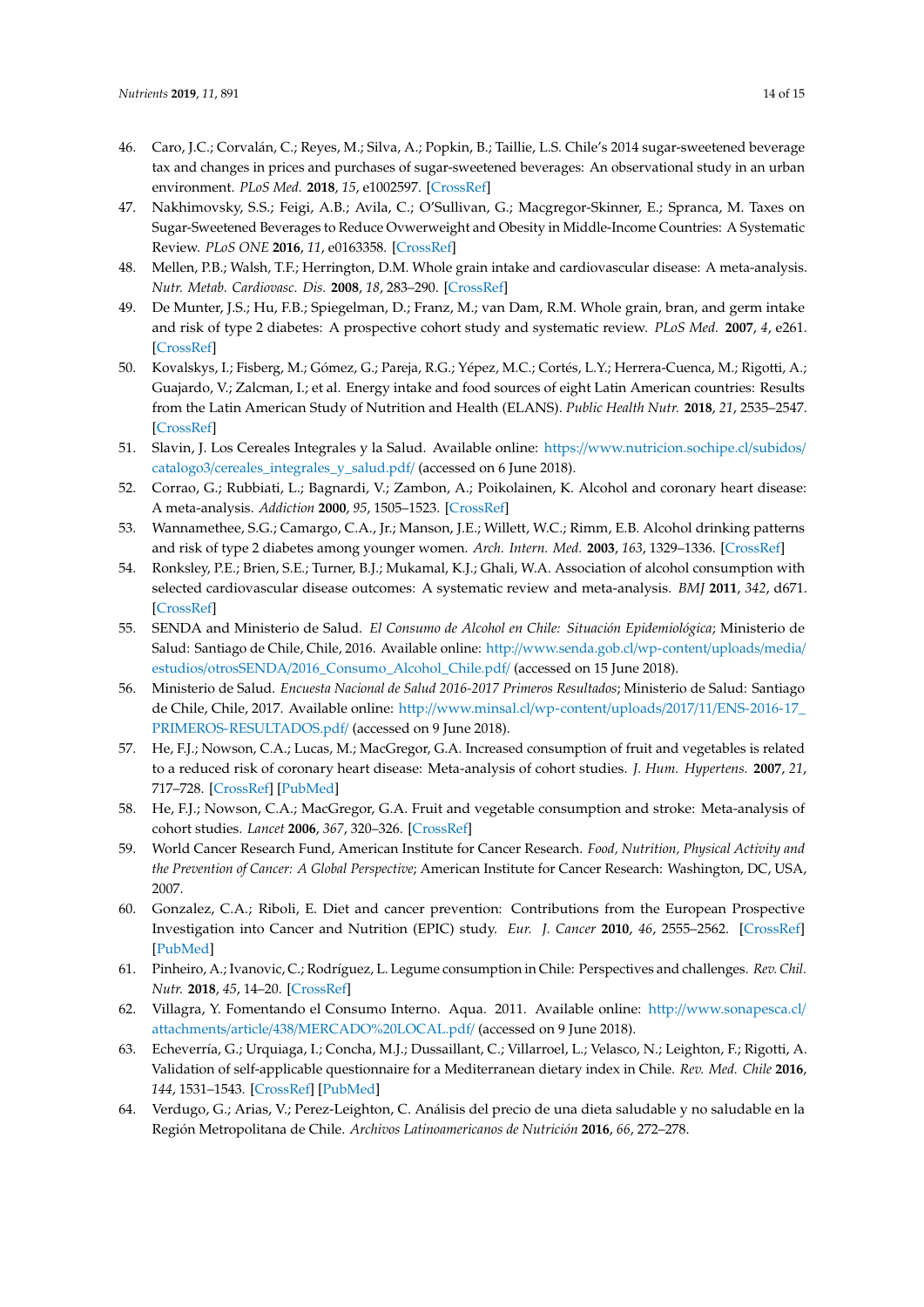- <span id="page-13-0"></span>46. Caro, J.C.; Corvalán, C.; Reyes, M.; Silva, A.; Popkin, B.; Taillie, L.S. Chile's 2014 sugar-sweetened beverage tax and changes in prices and purchases of sugar-sweetened beverages: An observational study in an urban environment. *PLoS Med.* **2018**, *15*, e1002597. [\[CrossRef\]](http://dx.doi.org/10.1371/journal.pmed.1002597)
- <span id="page-13-1"></span>47. Nakhimovsky, S.S.; Feigi, A.B.; Avila, C.; O'Sullivan, G.; Macgregor-Skinner, E.; Spranca, M. Taxes on Sugar-Sweetened Beverages to Reduce Ovwerweight and Obesity in Middle-Income Countries: A Systematic Review. *PLoS ONE* **2016**, *11*, e0163358. [\[CrossRef\]](http://dx.doi.org/10.1371/journal.pone.0163358)
- <span id="page-13-2"></span>48. Mellen, P.B.; Walsh, T.F.; Herrington, D.M. Whole grain intake and cardiovascular disease: A meta-analysis. *Nutr. Metab. Cardiovasc. Dis.* **2008**, *18*, 283–290. [\[CrossRef\]](http://dx.doi.org/10.1016/j.numecd.2006.12.008)
- <span id="page-13-3"></span>49. De Munter, J.S.; Hu, F.B.; Spiegelman, D.; Franz, M.; van Dam, R.M. Whole grain, bran, and germ intake and risk of type 2 diabetes: A prospective cohort study and systematic review. *PLoS Med.* **2007**, *4*, e261. [\[CrossRef\]](http://dx.doi.org/10.1371/journal.pmed.0040261)
- <span id="page-13-4"></span>50. Kovalskys, I.; Fisberg, M.; Gómez, G.; Pareja, R.G.; Yépez, M.C.; Cortés, L.Y.; Herrera-Cuenca, M.; Rigotti, A.; Guajardo, V.; Zalcman, I.; et al. Energy intake and food sources of eight Latin American countries: Results from the Latin American Study of Nutrition and Health (ELANS). *Public Health Nutr.* **2018**, *21*, 2535–2547. [\[CrossRef\]](http://dx.doi.org/10.1017/S1368980018001222)
- <span id="page-13-5"></span>51. Slavin, J. Los Cereales Integrales y la Salud. Available online: https://[www.nutricion.sochipe.cl](https://www.nutricion.sochipe.cl/subidos/catalogo3/cereales_integrales_y_salud.pdf/)/subidos/ catalogo3/[cereales\\_integrales\\_y\\_salud.pdf](https://www.nutricion.sochipe.cl/subidos/catalogo3/cereales_integrales_y_salud.pdf/)/ (accessed on 6 June 2018).
- <span id="page-13-6"></span>52. Corrao, G.; Rubbiati, L.; Bagnardi, V.; Zambon, A.; Poikolainen, K. Alcohol and coronary heart disease: A meta-analysis. *Addiction* **2000**, *95*, 1505–1523. [\[CrossRef\]](http://dx.doi.org/10.1046/j.1360-0443.2000.951015056.x)
- <span id="page-13-7"></span>53. Wannamethee, S.G.; Camargo, C.A., Jr.; Manson, J.E.; Willett, W.C.; Rimm, E.B. Alcohol drinking patterns and risk of type 2 diabetes among younger women. *Arch. Intern. Med.* **2003**, *163*, 1329–1336. [\[CrossRef\]](http://dx.doi.org/10.1001/archinte.163.11.1329)
- <span id="page-13-8"></span>54. Ronksley, P.E.; Brien, S.E.; Turner, B.J.; Mukamal, K.J.; Ghali, W.A. Association of alcohol consumption with selected cardiovascular disease outcomes: A systematic review and meta-analysis. *BMJ* **2011**, *342*, d671. [\[CrossRef\]](http://dx.doi.org/10.1136/bmj.d671)
- <span id="page-13-9"></span>55. SENDA and Ministerio de Salud. *El Consumo de Alcohol en Chile: Situación Epidemiológica*; Ministerio de Salud: Santiago de Chile, Chile, 2016. Available online: http://[www.senda.gob.cl](http://www.senda.gob.cl/wp-content/uploads/media/estudios/otrosSENDA/2016_Consumo_Alcohol_Chile.pdf/)/wp-content/uploads/media/ estudios/otrosSENDA/[2016\\_Consumo\\_Alcohol\\_Chile.pdf](http://www.senda.gob.cl/wp-content/uploads/media/estudios/otrosSENDA/2016_Consumo_Alcohol_Chile.pdf/)/ (accessed on 15 June 2018).
- <span id="page-13-10"></span>56. Ministerio de Salud. *Encuesta Nacional de Salud 2016-2017 Primeros Resultados*; Ministerio de Salud: Santiago de Chile, Chile, 2017. Available online: http://[www.minsal.cl](http://www.minsal.cl/wp-content/uploads/2017/11/ENS-2016-17_PRIMEROS-RESULTADOS.pdf/)/wp-content/uploads/2017/11/ENS-2016-17\_ [PRIMEROS-RESULTADOS.pdf](http://www.minsal.cl/wp-content/uploads/2017/11/ENS-2016-17_PRIMEROS-RESULTADOS.pdf/)/ (accessed on 9 June 2018).
- <span id="page-13-11"></span>57. He, F.J.; Nowson, C.A.; Lucas, M.; MacGregor, G.A. Increased consumption of fruit and vegetables is related to a reduced risk of coronary heart disease: Meta-analysis of cohort studies. *J. Hum. Hypertens.* **2007**, *21*, 717–728. [\[CrossRef\]](http://dx.doi.org/10.1038/sj.jhh.1002212) [\[PubMed\]](http://www.ncbi.nlm.nih.gov/pubmed/17443205)
- <span id="page-13-12"></span>58. He, F.J.; Nowson, C.A.; MacGregor, G.A. Fruit and vegetable consumption and stroke: Meta-analysis of cohort studies. *Lancet* **2006**, *367*, 320–326. [\[CrossRef\]](http://dx.doi.org/10.1016/S0140-6736(06)68069-0)
- <span id="page-13-13"></span>59. World Cancer Research Fund, American Institute for Cancer Research. *Food, Nutrition, Physical Activity and the Prevention of Cancer: A Global Perspective*; American Institute for Cancer Research: Washington, DC, USA, 2007.
- <span id="page-13-14"></span>60. Gonzalez, C.A.; Riboli, E. Diet and cancer prevention: Contributions from the European Prospective Investigation into Cancer and Nutrition (EPIC) study. *Eur. J. Cancer* **2010**, *46*, 2555–2562. [\[CrossRef\]](http://dx.doi.org/10.1016/j.ejca.2010.07.025) [\[PubMed\]](http://www.ncbi.nlm.nih.gov/pubmed/20843485)
- <span id="page-13-15"></span>61. Pinheiro, A.; Ivanovic, C.; Rodríguez, L. Legume consumption in Chile: Perspectives and challenges. *Rev. Chil. Nutr.* **2018**, *45*, 14–20. [\[CrossRef\]](http://dx.doi.org/10.4067/S0717-75182018000200014)
- <span id="page-13-16"></span>62. Villagra, Y. Fomentando el Consumo Interno. Aqua. 2011. Available online: http://[www.sonapesca.cl](http://www.sonapesca.cl/attachments/article/438/MERCADO%20LOCAL.pdf/)/ attachments/article/438/[MERCADO%20LOCAL.pdf](http://www.sonapesca.cl/attachments/article/438/MERCADO%20LOCAL.pdf/)/ (accessed on 9 June 2018).
- <span id="page-13-17"></span>63. Echeverría, G.; Urquiaga, I.; Concha, M.J.; Dussaillant, C.; Villarroel, L.; Velasco, N.; Leighton, F.; Rigotti, A. Validation of self-applicable questionnaire for a Mediterranean dietary index in Chile. *Rev. Med. Chile* **2016**, *144*, 1531–1543. [\[CrossRef\]](http://dx.doi.org/10.4067/S0034-98872016001200004) [\[PubMed\]](http://www.ncbi.nlm.nih.gov/pubmed/28393987)
- <span id="page-13-18"></span>64. Verdugo, G.; Arias, V.; Perez-Leighton, C. Análisis del precio de una dieta saludable y no saludable en la Región Metropolitana de Chile. *Archivos Latinoamericanos de Nutrición* **2016**, *66*, 272–278.